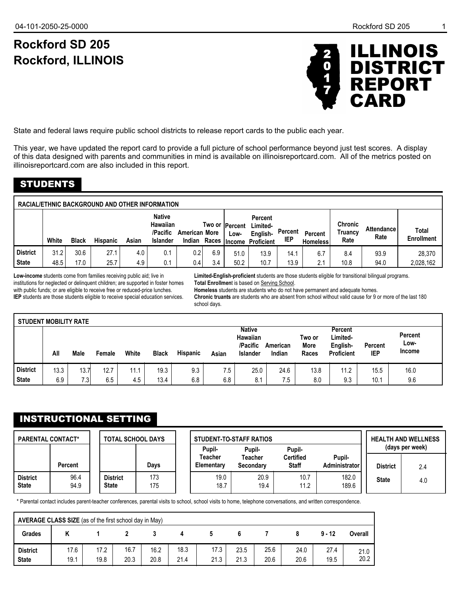# **Rockford SD 205 Rockford, ILLINOIS**



State and federal laws require public school districts to release report cards to the public each year.

This year, we have updated the report card to provide a full picture of school performance beyond just test scores. A display of this data designed with parents and communities in mind is available on illinoisreportcard.com. All of the metrics posted on illinoisreportcard.com are also included in this report.

# STUDENTS

| White | <b>Black</b> | <b>Hispanic</b> | Asian | <b>Native</b><br>Hawaiian<br>/Pacific<br><b>Islander</b> |     |                                                       | Low-                                        | <b>Percent</b><br>Limited-<br>English- | Percent<br>IEP                              | Percent<br><b>Homeless</b> | <b>Chronic</b><br>Truancy<br>Rate | <b>Attendance</b><br>Rate | Total<br><b>Enrollment</b> |
|-------|--------------|-----------------|-------|----------------------------------------------------------|-----|-------------------------------------------------------|---------------------------------------------|----------------------------------------|---------------------------------------------|----------------------------|-----------------------------------|---------------------------|----------------------------|
| 31.2  | 30.6         | 27.1            | 4.0   | 0.1<br>0.1                                               | 0.4 | 6.9<br>3.4                                            | 51.0<br>50.2                                | 13.9<br>10.7                           | 14.1<br>13.9                                | 6.7<br>2.1                 | 8.4<br>10.8                       | 93.9<br>94.0              | 28,370<br>2,028,162        |
|       |              |                 |       | 48.5<br>17.0<br>25.7<br>4.9                              |     | <b>RACIAL/ETHNIC BACKGROUND AND OTHER INFORMATION</b> | <b>American More</b><br>Indian Races<br>0.2 |                                        | Two or  Percent<br><b>Income Proficient</b> |                            |                                   |                           |                            |

**Low-income** students come from families receiving public aid; live in institutions for neglected or delinquent children; are supported in foster homes with public funds; or are eligible to receive free or reduced-price lunches. **IEP** students are those students eligible to receive special education services.

**Limited-English-proficient** students are those students eligible for transitional bilingual programs. **Total Enrollmen**t is based on Serving School.

**Homeless** students are students who do not have permanent and adequate homes.

**Chronic truants** are students who are absent from school without valid cause for 9 or more of the last 180 school days.

| <b>STUDENT MOBILITY RATE</b> |      |                  |        |       |              |                 |       |                                                          |                    |                                |                                                      |                       |                                  |
|------------------------------|------|------------------|--------|-------|--------------|-----------------|-------|----------------------------------------------------------|--------------------|--------------------------------|------------------------------------------------------|-----------------------|----------------------------------|
|                              | All  | Male             | Female | White | <b>Black</b> | <b>Hispanic</b> | Asian | <b>Native</b><br>Hawaiian<br>/Pacific<br><b>Islander</b> | American<br>Indian | Two or<br><b>More</b><br>Races | Percent<br>Limited-<br>English-<br><b>Proficient</b> | Percent<br><b>IEP</b> | Percent<br>Low-<br><b>Income</b> |
| <b>District</b>              | 13.3 | 13.7             | 12.7   | 11.1  | 19.3         | 9.3             | 7.5   | 25.0                                                     | 24.6               | 13.8                           | 11.2                                                 | 15.5                  | 16.0                             |
| <b>State</b>                 | 6.9  | 7.3 <sub>1</sub> | 6.5    | 4.5   | 13.4         | 6.8             | 6.8   | 8.1                                                      | 7.5                | 8.0                            | 9.3                                                  | 10.1                  | 9.6                              |

## INSTRUCTIONAL SETTING

| <b>PARENTAL CONTACT*</b><br><b>TOTAL SCHOOL DAYS</b> |                |                                 |            | Pupil-                | <b>STUDENT-TO-STAFF RATIOS</b><br>Pupil- |                                  | <b>HEALTH AND WELLNESS</b><br>(days per week) |                 |     |
|------------------------------------------------------|----------------|---------------------------------|------------|-----------------------|------------------------------------------|----------------------------------|-----------------------------------------------|-----------------|-----|
|                                                      | <b>Percent</b> |                                 | Davs       | Teacher<br>Elementary | Teacher<br>Secondary                     | <b>Certified</b><br><b>Staff</b> | Pupil-<br>Administrator                       | <b>District</b> | 2.4 |
| <b>District</b><br><b>State</b>                      | 96.4<br>94.9   | <b>District</b><br><b>State</b> | 173<br>175 | 19.0<br>18.7          | 20.9<br>19.4                             | 10.7<br>11.2                     | 182.0<br>189.6                                | <b>State</b>    | 4.0 |

\* Parental contact includes parent-teacher conferences, parental visits to school, school visits to home, telephone conversations, and written correspondence.

|                                 | AVERAGE CLASS SIZE (as of the first school day in May) |              |              |              |              |              |              |              |              |              |              |  |
|---------------------------------|--------------------------------------------------------|--------------|--------------|--------------|--------------|--------------|--------------|--------------|--------------|--------------|--------------|--|
| <b>Grades</b>                   |                                                        |              |              |              |              |              |              |              |              | $9 - 12$     | Overall      |  |
| <b>District</b><br><b>State</b> | 17.6<br>19.1                                           | 17.2<br>19.8 | 16.7<br>20.3 | 16.2<br>20.8 | 18.3<br>21.4 | 17.3<br>21.3 | 23.5<br>21.3 | 25.6<br>20.6 | 24.0<br>20.6 | 27.4<br>19.5 | 21.0<br>20.2 |  |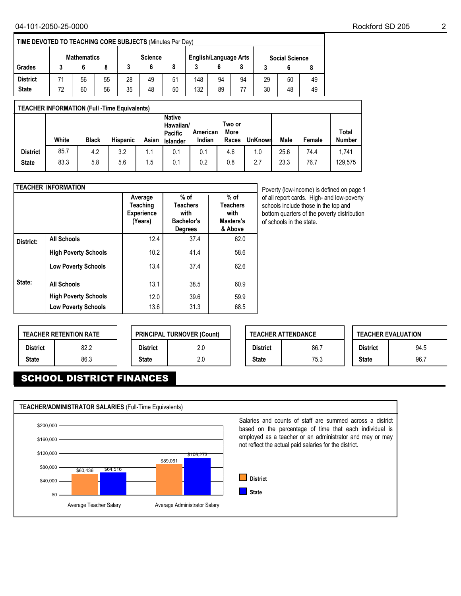|                    | <b>TIME DEVOTED TO TEACHING CORE SUBJECTS (Minutes Per Day)</b> |    |    |                |    |    |                              |    |    |                       |    |    |  |
|--------------------|-----------------------------------------------------------------|----|----|----------------|----|----|------------------------------|----|----|-----------------------|----|----|--|
| <b>Mathematics</b> |                                                                 |    |    | <b>Science</b> |    |    | <b>English/Language Arts</b> |    |    | <b>Social Science</b> |    |    |  |
| Grades             |                                                                 |    |    |                |    |    |                              |    |    |                       |    |    |  |
| <b>District</b>    |                                                                 | 56 | 55 | 28             | 49 | 51 | 148                          | 94 | 94 | 29                    | 50 | 49 |  |
| <b>State</b>       | 72                                                              | 60 | 56 | 35             | 48 | 50 | 132                          | 89 | 77 | 30                    | 48 | 49 |  |

|                 | <b>TEACHER INFORMATION (Full -Time Equivalents)</b> |              |                 |       |                                                   |                    |                         |                |      |        |                               |  |  |
|-----------------|-----------------------------------------------------|--------------|-----------------|-------|---------------------------------------------------|--------------------|-------------------------|----------------|------|--------|-------------------------------|--|--|
|                 | White                                               | <b>Black</b> | <b>Hispanic</b> | Asian | <b>Native</b><br>Hawaiian/<br>Pacific<br>Islander | American<br>Indian | Two or<br>More<br>Races | <b>UnKnown</b> | Male | Female | <b>Total</b><br><b>Number</b> |  |  |
| <b>District</b> | 85.7                                                | 4.2          | 3.2             | 1.1   | 0.1                                               | 0.1                | 4.6                     | 1.0            | 25.6 | 74.4   | 1,741                         |  |  |
| <b>State</b>    | 83.3                                                | 5.8          | 5.6             | 1.5   | 0.1                                               | 0.2                | 0.8                     | 2.7            | 23.3 | 76.7   | 129,575                       |  |  |

|           | <b>TEACHER INFORMATION</b>  |                                                     |                                                                          |                                                           |
|-----------|-----------------------------|-----------------------------------------------------|--------------------------------------------------------------------------|-----------------------------------------------------------|
|           |                             | Average<br>Teaching<br><b>Experience</b><br>(Years) | $%$ of<br><b>Teachers</b><br>with<br><b>Bachelor's</b><br><b>Degrees</b> | $%$ of<br><b>Teachers</b><br>with<br>Masters's<br>& Above |
| District: | <b>All Schools</b>          | 12.4                                                | 37.4                                                                     | 62.0                                                      |
|           | <b>High Poverty Schools</b> | 10.2                                                | 41.4                                                                     | 58.6                                                      |
|           | <b>Low Poverty Schools</b>  | 13.4                                                | 37.4                                                                     | 62.6                                                      |
| State:    | <b>All Schools</b>          | 13.1                                                | 38.5                                                                     | 60.9                                                      |
|           | <b>High Poverty Schools</b> | 12.0                                                | 39.6                                                                     | 59.9                                                      |
|           | <b>Low Poverty Schools</b>  | 13.6                                                | 31.3                                                                     | 68.5                                                      |

Poverty (low-income) is defined on page 1 of all report cards. High- and low-poverty schools include those in the top and bottom quarters of the poverty distribution of schools in the state.

|                 | <b>TEACHER RETENTION RATE</b> |                 | <b>PRINCIPAL TURNOVER (Count)</b> |
|-----------------|-------------------------------|-----------------|-----------------------------------|
| <b>District</b> | 82.2                          | <b>District</b> | 2.0                               |
| <b>State</b>    | 86.3                          | <b>State</b>    | 2.0                               |

|                 | <b>TEACHER ATTENDANCE</b> |                 | <b>TEACHER EVALUATION</b> |
|-----------------|---------------------------|-----------------|---------------------------|
| <b>District</b> | 86.7                      | <b>District</b> | 94.5                      |
| <b>State</b>    | 75.3                      | <b>State</b>    | 96.7                      |

# SCHOOL DISTRICT FINANCES

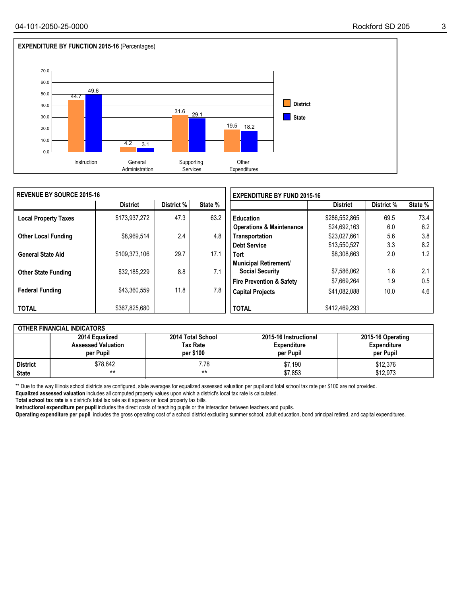

| I REVENUE BY SOURCE 2015-16 |                 |            |         | <b>EXPENDITURE BY FUND 2015-16</b>  |                 |            |         |  |  |
|-----------------------------|-----------------|------------|---------|-------------------------------------|-----------------|------------|---------|--|--|
|                             | <b>District</b> | District % | State % |                                     | <b>District</b> | District % | State % |  |  |
| <b>Local Property Taxes</b> | \$173,937,272   | 47.3       | 63.2    | Education                           | \$286,552,865   | 69.5       | 73.4    |  |  |
|                             |                 |            |         | <b>Operations &amp; Maintenance</b> | \$24,692,163    | 6.0        | 6.2     |  |  |
| <b>Other Local Funding</b>  | \$8,969,514     | 2.4        | 4.8     | Transportation                      | \$23,027,661    | 5.6        | 3.8     |  |  |
|                             |                 |            |         | Debt Service                        | \$13,550,527    | 3.3        | 8.2     |  |  |
| <b>General State Aid</b>    | \$109,373,106   | 29.7       | 17.1    | <b>Tort</b>                         | \$8,308,663     | 2.0        | 1.2     |  |  |
|                             |                 |            |         | <b>Municipal Retirement/</b>        |                 |            |         |  |  |
| <b>Other State Funding</b>  | \$32,185,229    | 8.8        | 7.1     | <b>Social Security</b>              | \$7,586,062     | 1.8        | 2.1     |  |  |
|                             |                 |            |         | <b>Fire Prevention &amp; Safety</b> | \$7,669,264     | 1.9        | 0.5     |  |  |
| <b>Federal Funding</b>      | \$43,360,559    | 11.8       | 7.8     | <b>Capital Projects</b>             | \$41,082,088    | 10.0       | 4.6     |  |  |
|                             |                 |            |         |                                     |                 |            |         |  |  |
| <b>TOTAL</b>                | \$367,825,680   |            |         | <b>TOTAL</b>                        | \$412,469,293   |            |         |  |  |

|              | <b>OTHER FINANCIAL INDICATORS</b>                        |                                                   |                                                          |                                                      |
|--------------|----------------------------------------------------------|---------------------------------------------------|----------------------------------------------------------|------------------------------------------------------|
|              | 2014 Equalized<br><b>Assessed Valuation</b><br>per Pupil | 2014 Total School<br><b>Tax Rate</b><br>per \$100 | 2015-16 Instructional<br><b>Expenditure</b><br>per Pupil | 2015-16 Operating<br><b>Expenditure</b><br>per Pupil |
| l District   | \$78,642                                                 | 7.78                                              | \$7,190                                                  | \$12,376                                             |
| <b>State</b> | $***$                                                    | **                                                | \$7,853                                                  | \$12.973                                             |

\*\* Due to the way Illinois school districts are configured, state averages for equalized assessed valuation per pupil and total school tax rate per \$100 are not provided.

**Equalized assessed valuation** includes all computed property values upon which a district's local tax rate is calculated.

**Total school tax rate** is a district's total tax rate as it appears on local property tax bills.

**Instructional expenditure per pupil** includes the direct costs of teaching pupils or the interaction between teachers and pupils.

**Operating expenditure per pupil** includes the gross operating cost of a school district excluding summer school, adult education, bond principal retired, and capital expenditures.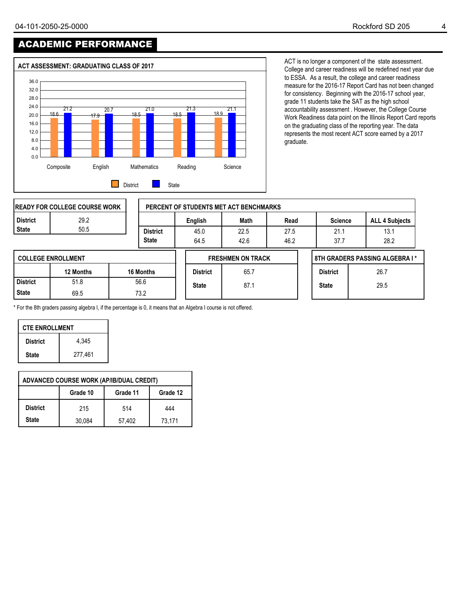# ACADEMIC PERFORMANCE



ACT is no longer a component of the state assessment. College and career readiness will be redefined next year due to ESSA. As a result, the college and career readiness measure for the 2016-17 Report Card has not been changed for consistency. Beginning with the 2016-17 school year, grade 11 students take the SAT as the high school accountability assessment . However, the College Course Work Readiness data point on the Illinois Report Card reports on the graduating class of the reporting year. The data represents the most recent ACT score earned by a 2017 graduate.

|                 | IREADY FOR COLLEGE COURSE WORK |                 |                 | PERCENT OF STUDENTS MET ACT BENCHMARKS |      |                 |                                |
|-----------------|--------------------------------|-----------------|-----------------|----------------------------------------|------|-----------------|--------------------------------|
| <b>District</b> | 29.2                           |                 | English         | Math                                   | Read | <b>Science</b>  | <b>ALL 4 Subjects</b>          |
| <b>State</b>    | 50.5                           | <b>District</b> | 45.0            | 22.5                                   | 27.5 | 21.1            | 13.1                           |
|                 |                                | <b>State</b>    | 64.5            | 42.6                                   | 46.2 | 37.7            | 28.2                           |
|                 | <b>COLLEGE ENROLLMENT</b>      |                 |                 | <b>FRESHMEN ON TRACK</b>               |      |                 | 8TH GRADERS PASSING ALGEBRA I* |
|                 | 12 Months                      | 16 Months       | <b>District</b> | 65.7                                   |      | <b>District</b> | 26.7                           |
| <b>District</b> | 51.8                           | 56.6            | <b>State</b>    | 87.1                                   |      | <b>State</b>    | 29.5                           |
| <b>State</b>    | 69.5                           | 73.2            |                 |                                        |      |                 |                                |

\* For the 8th graders passing algebra I, if the percentage is 0, it means that an Algebra I course is not offered.

| <b>CTE ENROLLMENT</b> |         |  |  |  |  |  |  |  |  |
|-----------------------|---------|--|--|--|--|--|--|--|--|
| <b>District</b>       | 4.345   |  |  |  |  |  |  |  |  |
| <b>State</b>          | 277,461 |  |  |  |  |  |  |  |  |

|                 | <b>ADVANCED COURSE WORK (AP/IB/DUAL CREDIT)</b> |          |          |  |  |  |  |  |  |  |  |  |  |
|-----------------|-------------------------------------------------|----------|----------|--|--|--|--|--|--|--|--|--|--|
|                 | Grade 10                                        | Grade 11 | Grade 12 |  |  |  |  |  |  |  |  |  |  |
| <b>District</b> | 215                                             | 514      | 444      |  |  |  |  |  |  |  |  |  |  |
| <b>State</b>    | 30.084                                          | 57,402   | 73.171   |  |  |  |  |  |  |  |  |  |  |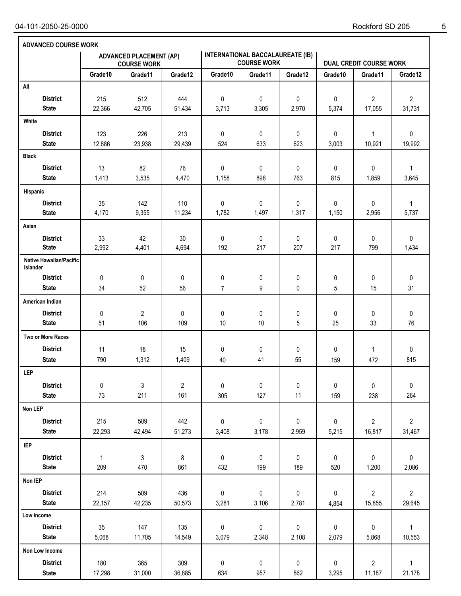| <b>ADVANCED COURSE WORK</b>                       |               |                                                      |                |                |                                                               |            |             |                                |                          |
|---------------------------------------------------|---------------|------------------------------------------------------|----------------|----------------|---------------------------------------------------------------|------------|-------------|--------------------------------|--------------------------|
|                                                   |               | <b>ADVANCED PLACEMENT (AP)</b><br><b>COURSE WORK</b> |                |                | <b>INTERNATIONAL BACCALAUREATE (IB)</b><br><b>COURSE WORK</b> |            |             | <b>DUAL CREDIT COURSE WORK</b> |                          |
|                                                   | Grade10       | Grade11                                              | Grade12        | Grade10        | Grade11                                                       | Grade12    | Grade10     | Grade11                        | Grade12                  |
| All                                               |               |                                                      |                |                |                                                               |            |             |                                |                          |
| <b>District</b><br><b>State</b>                   | 215<br>22,366 | 512<br>42,705                                        | 444<br>51,434  | 0<br>3,713     | 0<br>3,305                                                    | 0<br>2,970 | 0<br>5,374  | $\boldsymbol{2}$<br>17,055     | $\overline{2}$<br>31,731 |
| White                                             |               |                                                      |                |                |                                                               |            |             |                                |                          |
| <b>District</b>                                   | 123           | 226                                                  | 213            | 0              | 0                                                             | 0          | $\pmb{0}$   | $\mathbf{1}$                   | 0                        |
| <b>State</b>                                      | 12,886        | 23,938                                               | 29,439         | 524            | 633                                                           | 623        | 3,003       | 10,921                         | 19,992                   |
| <b>Black</b>                                      |               |                                                      |                |                |                                                               |            |             |                                |                          |
| <b>District</b>                                   | 13            | 82                                                   | 76             | 0              | 0                                                             | 0          | 0           | 0                              | $\mathbf{1}$             |
| <b>State</b>                                      | 1,413         | 3,535                                                | 4,470          | 1,158          | 898                                                           | 763        | 815         | 1,859                          | 3,645                    |
| Hispanic                                          |               |                                                      |                |                |                                                               |            |             |                                |                          |
| <b>District</b>                                   | 35            | 142                                                  | 110            | 0              | 0                                                             | 0          | $\mathbf 0$ | 0                              | $\mathbf{1}$             |
| <b>State</b>                                      | 4,170         | 9,355                                                | 11,234         | 1,782          | 1,497                                                         | 1,317      | 1,150       | 2,956                          | 5,737                    |
| Asian                                             |               |                                                      |                |                |                                                               |            |             |                                |                          |
| <b>District</b>                                   | 33            | 42                                                   | 30             | 0              | 0                                                             | 0          | 0           | 0                              | 0                        |
| <b>State</b>                                      | 2,992         | 4,401                                                | 4,694          | 192            | 217                                                           | 207        | 217         | 799                            | 1,434                    |
| <b>Native Hawaiian/Pacific</b><br><b>Islander</b> |               |                                                      |                |                |                                                               |            |             |                                |                          |
| <b>District</b>                                   | 0             | 0                                                    | 0              | 0              | 0                                                             | 0          | 0           | 0                              | 0                        |
| <b>State</b>                                      | 34            | 52                                                   | 56             | $\overline{7}$ | 9                                                             | 0          | 5           | 15                             | 31                       |
| American Indian                                   |               |                                                      |                |                |                                                               |            |             |                                |                          |
| <b>District</b>                                   | 0             | 2                                                    | 0              | 0              | 0                                                             | 0          | 0           | 0                              | 0                        |
| <b>State</b>                                      | 51            | 106                                                  | 109            | 10             | 10                                                            | 5          | 25          | 33                             | 76                       |
| Two or More Races                                 |               |                                                      |                |                |                                                               |            |             |                                |                          |
| <b>District</b>                                   | 11            | 18                                                   | 15             | 0              | 0                                                             | 0          | 0           | $\mathbf{1}$                   | 0                        |
| <b>State</b>                                      | 790           | 1,312                                                | 1,409          | 40             | 41                                                            | 55         | 159         | 472                            | 815                      |
| <b>LEP</b>                                        |               |                                                      |                |                |                                                               |            |             |                                |                          |
| <b>District</b>                                   | $\pmb{0}$     | 3                                                    | $\overline{c}$ | 0              | 0                                                             | $\pmb{0}$  | $\pmb{0}$   | 0                              | $\pmb{0}$                |
| <b>State</b>                                      | 73            | 211                                                  | 161            | 305            | 127                                                           | 11         | 159         | 238                            | 264                      |
| Non LEP                                           |               |                                                      |                |                |                                                               |            |             |                                |                          |
| <b>District</b>                                   | 215           | 509                                                  | 442            | 0              | 0                                                             | 0          | $\pmb{0}$   | $\overline{2}$                 | $\overline{2}$           |
| <b>State</b>                                      | 22,293        | 42,494                                               | 51,273         | 3,408          | 3,178                                                         | 2,959      | 5,215       | 16,817                         | 31,467                   |
| <b>IEP</b>                                        |               |                                                      |                |                |                                                               |            |             |                                |                          |
| <b>District</b>                                   | $\mathbf{1}$  | 3                                                    | 8              | 0              | $\pmb{0}$                                                     | 0          | 0           | 0                              | $\pmb{0}$                |
| <b>State</b>                                      | 209           | 470                                                  | 861            | 432            | 199                                                           | 189        | 520         | 1,200                          | 2,086                    |
| Non IEP                                           |               |                                                      |                |                |                                                               |            |             |                                |                          |
| <b>District</b>                                   | 214           | 509                                                  | 436            | 0              | 0                                                             | 0          | $\pmb{0}$   | $\overline{2}$                 | $\overline{2}$           |
| <b>State</b>                                      | 22,157        | 42,235                                               | 50,573         | 3,281          | 3,106                                                         | 2,781      | 4,854       | 15,855                         | 29,645                   |
| Low Income                                        |               |                                                      |                |                |                                                               |            |             |                                |                          |
| <b>District</b>                                   | 35            | 147                                                  | 135            | 0              | $\pmb{0}$                                                     | $\pmb{0}$  | $\pmb{0}$   | $\pmb{0}$                      | $\mathbf{1}$             |
| <b>State</b>                                      | 5,068         | 11,705                                               | 14,549         | 3,079          | 2,348                                                         | 2,108      | 2,079       | 5,868                          | 10,553                   |
| Non Low Income                                    |               |                                                      |                |                |                                                               |            |             |                                |                          |
| <b>District</b>                                   | 180           | 365                                                  | 309            | 0              | $\pmb{0}$                                                     | 0          | $\pmb{0}$   | $\overline{\mathbf{c}}$        | $\mathbf{1}$             |
| <b>State</b>                                      | 17,298        | 31,000                                               | 36,885         | 634            | 957                                                           | 862        | 3,295       | 11,187                         | 21,178                   |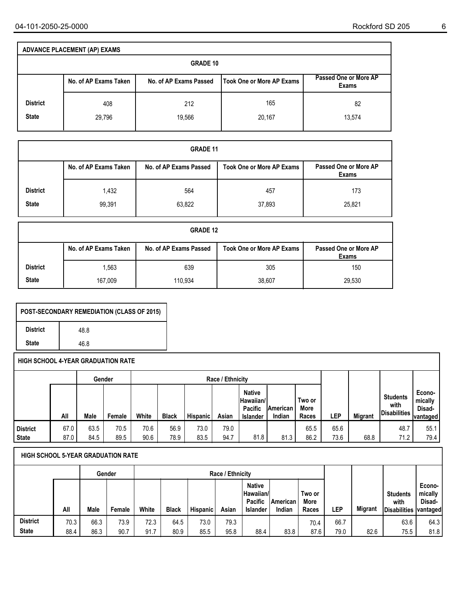|                 | <b>ADVANCE PLACEMENT (AP) EXAMS</b> |                        |                                  |                                |  |  |  |  |  |  |  |  |  |  |
|-----------------|-------------------------------------|------------------------|----------------------------------|--------------------------------|--|--|--|--|--|--|--|--|--|--|
|                 | <b>GRADE 10</b>                     |                        |                                  |                                |  |  |  |  |  |  |  |  |  |  |
|                 | No. of AP Exams Taken               | No. of AP Exams Passed | <b>Took One or More AP Exams</b> | Passed One or More AP<br>Exams |  |  |  |  |  |  |  |  |  |  |
| <b>District</b> | 408                                 | 212                    | 165                              | 82                             |  |  |  |  |  |  |  |  |  |  |
| <b>State</b>    | 29,796                              | 19,566                 | 20,167                           | 13,574                         |  |  |  |  |  |  |  |  |  |  |

|                                 | <b>GRADE 11</b>       |                        |                                  |                                |  |  |  |  |  |  |  |  |  |  |
|---------------------------------|-----------------------|------------------------|----------------------------------|--------------------------------|--|--|--|--|--|--|--|--|--|--|
|                                 | No. of AP Exams Taken | No. of AP Exams Passed | <b>Took One or More AP Exams</b> | Passed One or More AP<br>Exams |  |  |  |  |  |  |  |  |  |  |
| <b>District</b><br><b>State</b> | 1,432<br>99,391       | 564<br>63,822          | 457<br>37,893                    | 173<br>25,821                  |  |  |  |  |  |  |  |  |  |  |

|                 | <b>GRADE 12</b>       |                        |                                  |                                |  |  |  |  |  |  |  |  |  |  |
|-----------------|-----------------------|------------------------|----------------------------------|--------------------------------|--|--|--|--|--|--|--|--|--|--|
|                 | No. of AP Exams Taken | No. of AP Exams Passed | <b>Took One or More AP Exams</b> | Passed One or More AP<br>Exams |  |  |  |  |  |  |  |  |  |  |
| <b>District</b> | 1,563                 | 639                    | 305                              | 150                            |  |  |  |  |  |  |  |  |  |  |
| <b>State</b>    | 167,009               | 110,934                | 38,607                           | 29,530                         |  |  |  |  |  |  |  |  |  |  |

| <b>POST-SECONDARY REMEDIATION (CLASS OF 2015)</b> |      |  |  |  |  |  |  |  |  |
|---------------------------------------------------|------|--|--|--|--|--|--|--|--|
| <b>District</b>                                   | 48.8 |  |  |  |  |  |  |  |  |
| <b>State</b>                                      | 46.8 |  |  |  |  |  |  |  |  |

|                 |      |      | Gender |       |              |                 | Race / Ethnicity |                                                                   |                     |                         |      |                |                                                | Econo-<br>mically<br>Disad-<br>vantaged |
|-----------------|------|------|--------|-------|--------------|-----------------|------------------|-------------------------------------------------------------------|---------------------|-------------------------|------|----------------|------------------------------------------------|-----------------------------------------|
|                 | All  | Male | Female | White | <b>Black</b> | <b>Hispanic</b> | Asian            | <b>Native</b><br> Hawaiian/I<br><b>Pacific</b><br><b>Islander</b> | IAmerican<br>Indian | Two or<br>More<br>Races | LEP  | <b>Migrant</b> | <b>Students</b><br>with<br><b>Disabilities</b> |                                         |
| <b>District</b> | 67.0 | 63.5 | 70.5   | 70.6  | 56.9         | 73.0            | 79.0             |                                                                   |                     | 65.5                    | 65.6 |                | 48.7                                           | 55.1                                    |
| <b>State</b>    | 87.0 | 84.5 | 89.5   | 90.6  | 78.9         | 83.5            | 94.7             | 81.8                                                              | 81.3                | 86.2                    | 73.6 | 68.8           | 71.2                                           | 79.4                                    |

|                 |      |      | Gender | Race / Ethnicity |              |                 |       |                                                            |                    |                         |      |                |                                                 |                                         |
|-----------------|------|------|--------|------------------|--------------|-----------------|-------|------------------------------------------------------------|--------------------|-------------------------|------|----------------|-------------------------------------------------|-----------------------------------------|
|                 | All  | Male | Female | White            | <b>Black</b> | <b>Hispanic</b> | Asian | <b>Native</b><br>∣Hawaiian/∣<br>Pacific<br><b>Islander</b> | American<br>Indian | Two or<br>More<br>Races | LEP  | <b>Migrant</b> | <b>Students</b><br>with<br><b>IDisabilities</b> | Econo-<br>mically<br>Disad-<br>vantaged |
| <b>District</b> | 70.3 | 66.3 | 73.9   | 72.3             | 64.5         | 73.0            | 79.3  |                                                            |                    | 70.4                    | 66.7 |                | 63.6                                            | 64.3                                    |
| <b>State</b>    | 88.4 | 86.3 | 90.7   | 91.7             | 80.9         | 85.5            | 95.8  | 88.4                                                       | 83.8               | 87.6                    | 79.0 | 82.6           | 75.5                                            | 81.8                                    |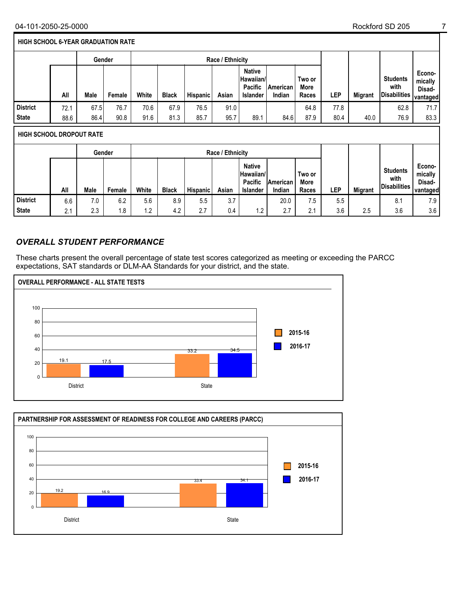#### **HIGH SCHOOL 6-YEAR GRADUATION RATE**

|                                 |                            | Gender |        |       |              |          | Race / Ethnicity |                                                                 |                    |                         |      |                |                                         |                                         |
|---------------------------------|----------------------------|--------|--------|-------|--------------|----------|------------------|-----------------------------------------------------------------|--------------------|-------------------------|------|----------------|-----------------------------------------|-----------------------------------------|
|                                 | All                        | Male   | Female | White | <b>Black</b> | Hispanic | Asian            | <b>Native</b><br>Hawaiian/<br><b>Pacific</b><br><b>Islander</b> | American<br>Indian | Two or<br>More<br>Races | LEP  | <b>Migrant</b> | <b>Students</b><br>with<br>Disabilities | Econo-<br>mically<br>Disad-<br>vantaged |
| <b>District</b>                 | 72.1                       | 67.5   | 76.7   | 70.6  | 67.9         | 76.5     | 91.0             |                                                                 |                    | 64.8                    | 77.8 |                | 62.8                                    | 71.7                                    |
| <b>State</b>                    | 88.6                       | 86.4   | 90.8   | 91.6  | 81.3         | 85.7     | 95.7             | 89.1                                                            | 84.6               | 87.9                    | 80.4 | 40.0           | 76.9                                    | 83.3                                    |
| <b>HIGH SCHOOL DROPOUT RATE</b> |                            |        |        |       |              |          |                  |                                                                 |                    |                         |      |                |                                         |                                         |
|                                 | Race / Ethnicity<br>Gender |        |        |       |              |          |                  |                                                                 |                    |                         |      |                |                                         |                                         |

|                 | All                  | Male | Female | White              | <b>Black</b> | <b>Hispanic</b> | Asian     | <b>Native</b><br>Hawaiian/<br><b>Pacific</b><br><b>Islander</b> | <b>IAmerican</b><br>Indian | Two or<br>More<br>Races | ∟EP | <b>Migrant</b> | <b>Students</b><br>with<br><b>Disabilities</b> | Econo-<br>mically<br>Disad-<br><b>vantaged</b> |
|-----------------|----------------------|------|--------|--------------------|--------------|-----------------|-----------|-----------------------------------------------------------------|----------------------------|-------------------------|-----|----------------|------------------------------------------------|------------------------------------------------|
| <b>District</b> | 6.6                  | 7.0  | 6.2    | 5.6                | 8.9          | 5.5             | 37<br>J.I |                                                                 | 20.0                       | 7 5<br>ن. ا             | 5.5 |                | 8.1                                            | 7.9                                            |
| <b>State</b>    | 2 <sub>1</sub><br>L. | 2.3  | 8.،    | 12<br>. . <u>.</u> | 4.2          | 27<br><u>.</u>  | 0.4       | $\cdot$ .2                                                      | $\sim$ $\sim$<br>٠.۱       | $\sim$<br>2. I          | 3.6 | 2.5            | 3.6                                            | 3.6                                            |

## *OVERALL STUDENT PERFORMANCE*

These charts present the overall percentage of state test scores categorized as meeting or exceeding the PARCC expectations, SAT standards or DLM-AA Standards for your district, and the state.



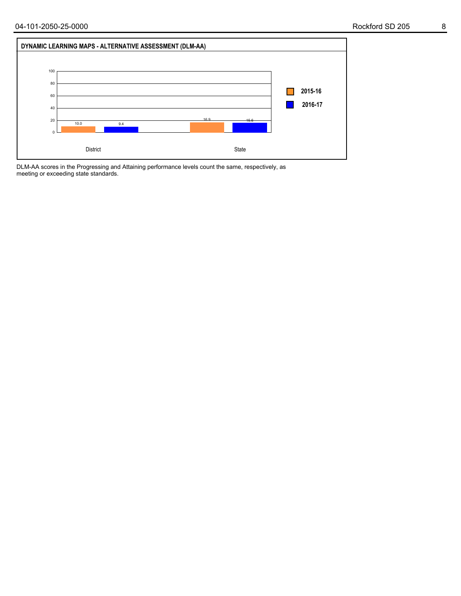

DLM-AA scores in the Progressing and Attaining performance levels count the same, respectively, as meeting or exceeding state standards.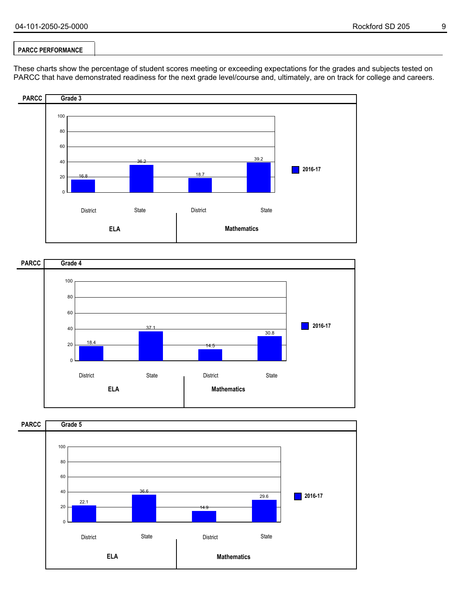## **PARCC PERFORMANCE**

These charts show the percentage of student scores meeting or exceeding expectations for the grades and subjects tested on PARCC that have demonstrated readiness for the next grade level/course and, ultimately, are on track for college and careers.





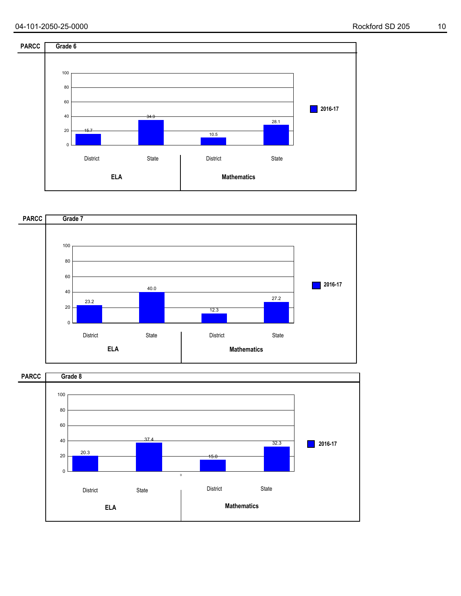



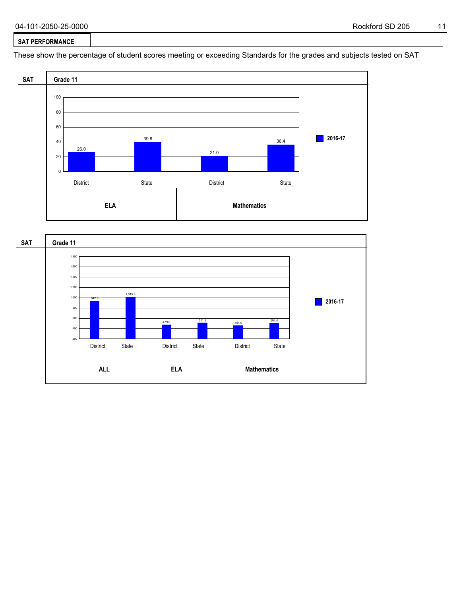#### **SAT PERFORMANCE**

These show the percentage of student scores meeting or exceeding Standards for the grades and subjects tested on SAT



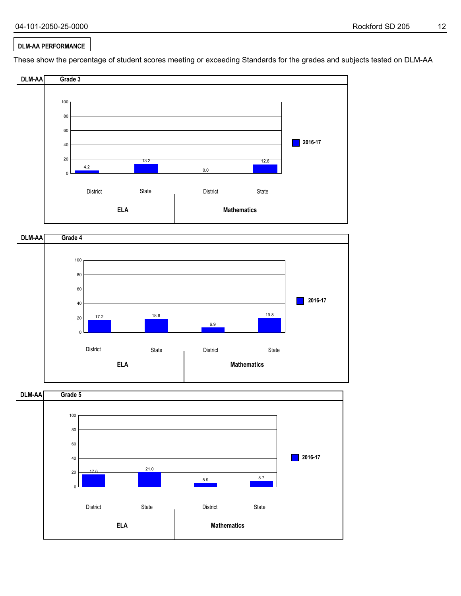**2016-17**

19.8

## **DLM-AA PERFORMANCE**

40 60

These show the percentage of student scores meeting or exceeding Standards for the grades and subjects tested on DLM-AA





18.6

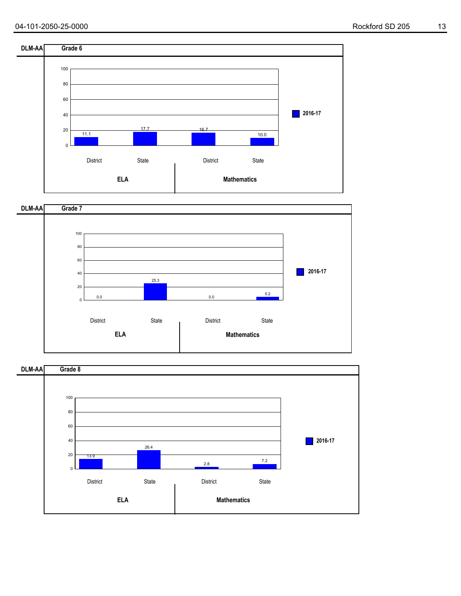



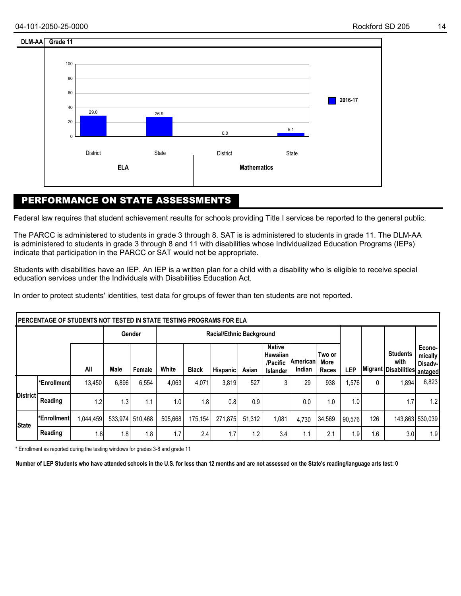

## PERFORMANCE ON STATE ASSESSMENTS

Federal law requires that student achievement results for schools providing Title I services be reported to the general public.

The PARCC is administered to students in grade 3 through 8. SAT is is administered to students in grade 11. The DLM-AA is administered to students in grade 3 through 8 and 11 with disabilities whose Individualized Education Programs (IEPs) indicate that participation in the PARCC or SAT would not be appropriate.

Students with disabilities have an IEP. An IEP is a written plan for a child with a disability who is eligible to receive special education services under the Individuals with Disabilities Education Act.

In order to protect students' identities, test data for groups of fewer than ten students are not reported.

|              | IPERCENTAGE OF STUDENTS NOT TESTED IN STATE TESTING PROGRAMS FOR ELA |           |       |                 |                                 |              |          |        |                                                   |                      |                         |                  |     |                                                                 |                           |
|--------------|----------------------------------------------------------------------|-----------|-------|-----------------|---------------------------------|--------------|----------|--------|---------------------------------------------------|----------------------|-------------------------|------------------|-----|-----------------------------------------------------------------|---------------------------|
|              |                                                                      |           |       | Gender          | <b>Racial/Ethnic Background</b> |              |          |        |                                                   |                      |                         |                  |     |                                                                 |                           |
|              |                                                                      | All       | Male  | Female          | White                           | <b>Black</b> | Hispanic | Asian  | <b>Native</b><br>Hawaiian<br>/Pacific<br>Islander | ∣American∣<br>Indian | Two or<br>More<br>Races | LEP              |     | <b>Students</b><br>with<br><b>IMigrant Disabilities</b> antaged | Econo-<br>mid<br>Disadv-l |
|              | l*Enrollmentl                                                        | 13.450    | 6,896 | 6,554           | 4,063                           | 4,071        | 3,819    | 527    | 3                                                 | 29                   | 938                     | ,576             | 0   | 1,894                                                           | 6,823                     |
| District [   | Reading                                                              | 1.2       | 1.3   | 1.1             | 1.0                             | 1.8          | 0.8      | 0.9    |                                                   | 0.0                  | 1.0                     | 1.0 <sub>l</sub> |     | 1.7                                                             | 1.2                       |
| <b>State</b> | l*Enrollment l                                                       | 1,044,459 |       | 533,974 510,468 | 505,668                         | 175.154      | 271.875  | 51.312 | 1,081                                             | 4.730                | 34,569                  | 90.576           | 126 |                                                                 | 143,863 530,039           |
|              | Reading                                                              | 1.8       | 1.8   | 1.8             | 1.7                             | 2.4          | 1.7      | 1.2    | 3.4                                               | 1.1                  | 2.1                     | 1.9              | 1.6 | 3.0                                                             | 1.9                       |

\* Enrollment as reported during the testing windows for grades 3-8 and grade 11

**Number of LEP Students who have attended schools in the U.S. for less than 12 months and are not assessed on the State's reading/language arts test: 0**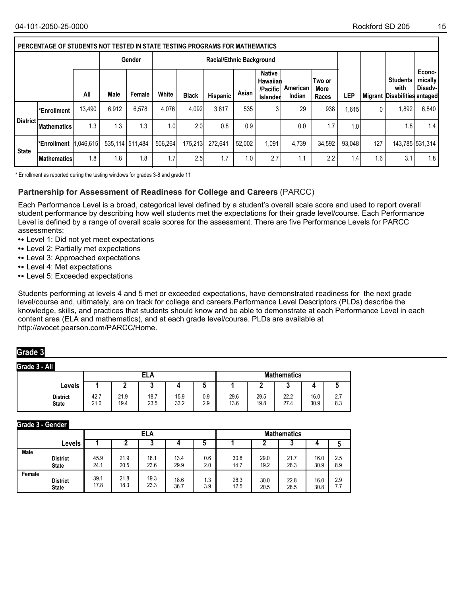|              | PERCENTAGE OF STUDENTS NOT TESTED IN STATE TESTING PROGRAMS FOR MATHEMATICS |           |                 |        |                  |              |                                 |        |                                                   |                    |                         |        |     |                                                         |                              |
|--------------|-----------------------------------------------------------------------------|-----------|-----------------|--------|------------------|--------------|---------------------------------|--------|---------------------------------------------------|--------------------|-------------------------|--------|-----|---------------------------------------------------------|------------------------------|
|              |                                                                             |           |                 | Gender |                  |              | <b>Racial/Ethnic Background</b> |        |                                                   |                    |                         |        |     |                                                         |                              |
|              |                                                                             | All       | Male            | Female | White            | <b>Black</b> | Hispanic                        | Asian  | <b>Native</b><br>Hawaiian<br>/Pacific<br>Islander | American<br>Indian | Two or<br>More<br>Races | LEP    |     | <b>Students</b><br>with<br>Migrant Disabilities antaged | Econo-<br>mically<br>Disadv- |
| District I   | <b>Enrollment</b>                                                           | 13,490    | 6.912           | 6,578  | 4.076            | 4,092        | 3.817                           | 535    | 3                                                 | 29                 | 938                     | ,615   | 0   | 1.892                                                   | 6,840                        |
|              | <b>Mathematics</b>                                                          | 1.3       | 1.3             | 1.3    | 0.1              | 2.0          | 0.8                             | 0.9    |                                                   | 0.0                | 1.7                     | 1.0    |     | 1.8                                                     | 1.4                          |
| <b>State</b> | l*Enrollment                                                                | 1,046,615 | 535.114 511.484 |        | 506.264          | 175.213      | 272.641                         | 52.002 | 1.091                                             | 4,739              | 34,592                  | 93.048 | 127 |                                                         | 143,785 531,314              |
|              | <b>IMathematics</b>                                                         | 1.8       | 1.8             | 1.8    | 1.7 <sup>°</sup> | 2.5          | 1.7                             | 1.0    | 2.7                                               | 1.1                | $2.2^{\circ}$           | .4'    | 1.6 | 3.1                                                     | 1.8                          |

\* Enrollment as reported during the testing windows for grades 3-8 and grade 11

#### **Partnership for Assessment of Readiness for College and Careers** (PARCC)

Each Performance Level is a broad, categorical level defined by a student's overall scale score and used to report overall student performance by describing how well students met the expectations for their grade level/course. Each Performance Level is defined by a range of overall scale scores for the assessment. There are five Performance Levels for PARCC assessments:

- **•** Level 1: Did not yet meet expectations
- **•** Level 2: Partially met expectations
- **•** Level 3: Approached expectations
- **•** Level 4: Met expectations
- **•** Level 5: Exceeded expectations

Students performing at levels 4 and 5 met or exceeded expectations, have demonstrated readiness for the next grade level/course and, ultimately, are on track for college and careers.Performance Level Descriptors (PLDs) describe the knowledge, skills, and practices that students should know and be able to demonstrate at each Performance Level in each content area (ELA and mathematics), and at each grade level/course. PLDs are available at http://avocet.pearson.com/PARCC/Home.

## **Grade 3**

#### **Grade 3 - All**

|                                 |              |              | ELA          |              |            | <b>Mathematics</b> |              |              |              |                             |  |
|---------------------------------|--------------|--------------|--------------|--------------|------------|--------------------|--------------|--------------|--------------|-----------------------------|--|
| Levels                          |              |              | $\bullet$    |              |            |                    |              |              |              |                             |  |
| <b>District</b><br><b>State</b> | 42.7<br>21.0 | 21.9<br>19.4 | 18.7<br>23.5 | 15.9<br>33.2 | 0.9<br>2.9 | 29.6<br>13.6       | 29.5<br>19.8 | 22.2<br>27.4 | 16.0<br>30.9 | $\sim$ $\sim$<br>۷.I<br>8.3 |  |

#### **Grade 3 - Gender**

|             |                 |      |      | <b>ELA</b> |      |     | <b>Mathematics</b> |      |      |      |     |  |
|-------------|-----------------|------|------|------------|------|-----|--------------------|------|------|------|-----|--|
|             | Levels          |      |      | ີ          |      |     |                    |      | ν    |      |     |  |
| <b>Male</b> | <b>District</b> | 45.9 | 21.9 | 18.1       | 13.4 | 0.6 | 30.8               | 29.0 | 21.7 | 16.0 | 2.5 |  |
|             | <b>State</b>    | 24.1 | 20.5 | 23.6       | 29.9 | 2.0 | 14.7               | 19.2 | 26.3 | 30.9 | 8.9 |  |
| Female      | <b>District</b> | 39.1 | 21.8 | 19.3       | 18.6 | 1.3 | 28.3               | 30.0 | 22.8 | 16.0 | 2.9 |  |
|             | <b>State</b>    | 17.8 | 18.3 | 23.3       | 36.7 | 3.9 | 12.5               | 20.5 | 28.5 | 30.8 | 7.7 |  |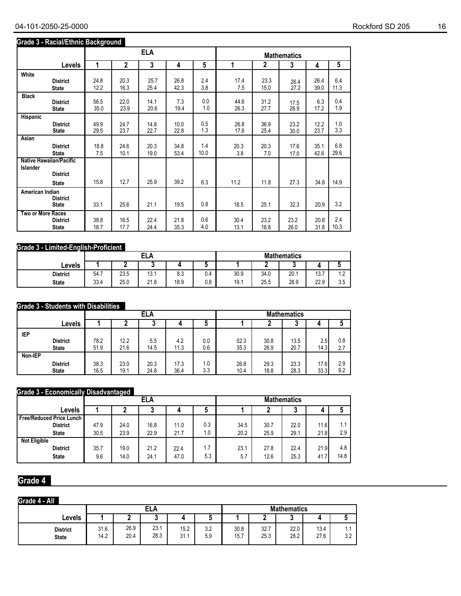### **Grade 3 - Racial/Ethnic Background**

|                          |                                                                   |      |              | <b>ELA</b> |      |      |      |              | <b>Mathematics</b> |      |      |
|--------------------------|-------------------------------------------------------------------|------|--------------|------------|------|------|------|--------------|--------------------|------|------|
|                          | Levels                                                            | 1    | $\mathbf{2}$ | 3          | 4    | 5    | 1    | $\mathbf{2}$ | 3                  | 4    | 5    |
| White                    | <b>District</b>                                                   | 24.8 | 20.3         | 25.7       | 26.8 | 2.4  | 17.4 | 23.3         | 26.4               | 26.4 | 6.4  |
|                          | <b>State</b>                                                      | 12.2 | 16.3         | 25.4       | 42.3 | 3.8  | 7.5  | 15.0         | 27.2               | 39.0 | 11.3 |
| <b>Black</b>             | <b>District</b>                                                   | 56.5 | 22.0         | 14.1       | 7.3  | 0.0  | 44.6 | 31.2         | 17.5               | 6.3  | 0.4  |
|                          | <b>State</b>                                                      | 35.0 | 23.9         | 20.6       | 19.4 | 1.0  | 26.3 | 27.7         | 26.9               | 17.2 | 1.9  |
| Hispanic                 | <b>District</b>                                                   | 49.9 | 24.7         | 14.8       | 10.0 | 0.5  | 26.8 | 36.9         | 23.2               | 12.2 | 1.0  |
|                          | <b>State</b>                                                      | 29.5 | 23.7         | 22.7       | 22.8 | 1.3  | 17.6 | 25.4         | 30.0               | 23.7 | 3.3  |
| Asian                    | <b>District</b>                                                   | 18.8 | 24.6         | 20.3       | 34.8 | 1.4  | 20.3 | 20.3         | 17.6               | 35.1 | 6.8  |
|                          | <b>State</b>                                                      | 7.5  | 10.1         | 19.0       | 53.4 | 10.0 | 3.8  | 7.0          | 17.0               | 42.6 | 29.6 |
| <b>Islander</b>          | <b>Native Hawaiian/Pacific</b><br><b>District</b><br><b>State</b> | 15.8 | 12.7         | 25.9       | 39.2 | 6.3  | 11.2 | 11.8         | 27.3               | 34.8 | 14.9 |
| American Indian          | <b>District</b><br><b>State</b>                                   | 33.1 | 25.6         | 21.1       | 19.5 | 0.8  | 18.5 | 25.1         | 32.3               | 20.9 | 3.2  |
| <b>Two or More Races</b> | <b>District</b>                                                   | 38.8 | 16.5         | 22.4       | 21.8 | 0.6  | 30.4 | 23.2         | 23.2               | 20.8 | 2.4  |
|                          | <b>State</b>                                                      | 18.7 | 17.7         | 24.4       | 35.3 | 4.0  | 13.1 | 18.8         | 26.0               | 31.8 | 10.3 |

## **Grade 3 - Limited-English-Proficient**

| . .             |      |      | <b>ELA</b>  |      |          | <b>Mathematics</b> |      |      |      |                   |  |
|-----------------|------|------|-------------|------|----------|--------------------|------|------|------|-------------------|--|
| Levels          |      | -    |             |      |          |                    |      |      |      |                   |  |
| <b>District</b> | 54.7 | 23.5 | 13.1        | 8.3  | ⌒<br>v.4 | 30.9               | 34.0 | 20.1 | 13.7 | .                 |  |
| <b>State</b>    | 33.4 | 25.0 | 210<br>21.O | 18.9 | 0.8      | 19.1               | 25.5 | 28.9 | 22.9 | <b>25</b><br>ن. ن |  |

#### **Grade 3 - Students with Disabilities**

|            |                                 |              |              | <b>ELA</b>   |              |            | <b>Mathematics</b> |              |              |              |            |  |
|------------|---------------------------------|--------------|--------------|--------------|--------------|------------|--------------------|--------------|--------------|--------------|------------|--|
|            | Levels                          |              |              | ν            | 4            | J          |                    |              | u            | 4            |            |  |
| <b>IEP</b> |                                 |              |              |              |              |            |                    |              |              |              |            |  |
|            | <b>District</b><br><b>State</b> | 78.2<br>51.9 | 12.2<br>21.6 | 5.5<br>14.5  | 4.2<br>11.3  | 0.0<br>0.6 | 52.3<br>35.3       | 30.8<br>26.9 | 13.5<br>20.7 | 2.5<br>14.3  | 0.8<br>2.7 |  |
| Non-IEP    |                                 |              |              |              |              |            |                    |              |              |              |            |  |
|            | <b>District</b><br><b>State</b> | 38.3<br>16.5 | 23.0<br>19.1 | 20.3<br>24.8 | 17.3<br>36.4 | 1.0<br>3.3 | 26.8<br>10.4       | 29.3<br>18.8 | 23.3<br>28.3 | 17.6<br>33.3 | 2.9<br>9.2 |  |

## **Grade 3 - Economically Disadvantaged**

|                                   |      |      | <b>ELA</b> |      |     | <b>Mathematics</b> |      |      |      |      |  |
|-----------------------------------|------|------|------------|------|-----|--------------------|------|------|------|------|--|
| Levels                            |      |      | N          |      | IJ  |                    |      | u    |      |      |  |
| <b>Free/Reduced Price Lunch I</b> |      |      |            |      |     |                    |      |      |      |      |  |
| <b>District</b>                   | 47.9 | 24.0 | 16.8       | 11.0 | 0.3 | 34.5               | 30.7 | 22.0 | 11.6 | 1.1  |  |
| <b>State</b>                      | 30.5 | 23.9 | 22.9       | 21.7 | 1.0 | 20.2               | 25.9 | 29.1 | 21.8 | 2.9  |  |
| <b>Not Eligible</b>               |      |      |            |      |     |                    |      |      |      |      |  |
| <b>District</b>                   | 35.7 | 19.0 | 21.2       | 22.4 | 1.7 | 23.1               | 27.8 | 22.4 | 21.9 | 4.8  |  |
| <b>State</b>                      | 9.6  | 14.0 | 24.1       | 47.0 | 5.3 | 5.7                | 12.6 | 25.3 | 41.7 | 14.8 |  |

## **Grade 4**

## **Grade 4 - All**

|                                 |              |              | <b>ELA</b>   |              |            | <b>Mathematics</b> |              |              |              |                 |  |
|---------------------------------|--------------|--------------|--------------|--------------|------------|--------------------|--------------|--------------|--------------|-----------------|--|
| Levels                          |              |              |              |              |            |                    |              |              |              |                 |  |
| <b>District</b><br><b>State</b> | 31.6<br>14.2 | 26.9<br>20.4 | 23.1<br>28.3 | 15.2<br>31.1 | 3.2<br>5.9 | 30.8<br>15.7       | 32.7<br>25.3 | 22.0<br>28.2 | 13.4<br>27.6 | $\Omega$<br>J.Z |  |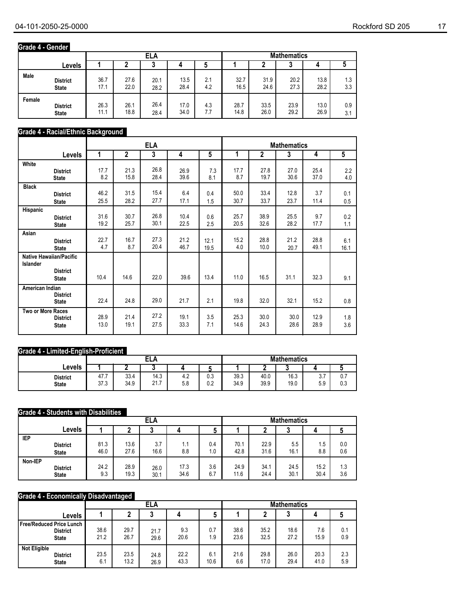## **Grade 4 - Gender**

|        |                 |      |      | ELA  |      |     | <b>Mathematics</b> |      |      |      |     |
|--------|-----------------|------|------|------|------|-----|--------------------|------|------|------|-----|
|        | Levels          |      |      | u    |      |     |                    |      | υ    |      |     |
| Male   | <b>District</b> | 36.7 | 27.6 | 20.1 | 13.5 | 2.1 | 32.7               | 31.9 | 20.2 | 13.8 | 1.3 |
|        | <b>State</b>    | 17.1 | 22.0 | 28.2 | 28.4 | 4.2 | 16.5               | 24.6 | 27.3 | 28.2 | 3.3 |
| Female | <b>District</b> | 26.3 | 26.1 | 26.4 | 17.0 | 4.3 | 28.7               | 33.5 | 23.9 | 13.0 | 0.9 |
|        | <b>State</b>    | 11.1 | 18.8 | 28.4 | 34.0 | 7.7 | 14.8               | 26.0 | 29.2 | 26.9 | 3.1 |

## **Grade 4 - Racial/Ethnic Background**

|                   |                                                                   |      |                | <b>ELA</b> |      |      |      |      | <b>Mathematics</b> |      |                |
|-------------------|-------------------------------------------------------------------|------|----------------|------------|------|------|------|------|--------------------|------|----------------|
|                   | <b>Levels</b>                                                     | 1    | $\overline{2}$ | 3          | 4    | 5    | 1    | 2    | 3                  | 4    | $\overline{5}$ |
| White             | <b>District</b>                                                   | 17.7 | 21.3           | 26.8       | 26.9 | 7.3  | 17.7 | 27.8 | 27.0               | 25.4 | 2.2            |
|                   | <b>State</b>                                                      | 8.2  | 15.8           | 28.4       | 39.6 | 8.1  | 8.7  | 19.7 | 30.6               | 37.0 | 4.0            |
| <b>Black</b>      | <b>District</b>                                                   | 46.2 | 31.5           | 15.4       | 6.4  | 0.4  | 50.0 | 33.4 | 12.8               | 3.7  | 0.1            |
|                   | <b>State</b>                                                      | 25.5 | 28.2           | 27.7       | 17.1 | 1.5  | 30.7 | 33.7 | 23.7               | 11.4 | 0.5            |
| Hispanic          | <b>District</b>                                                   | 31.6 | 30.7           | 26.8       | 10.4 | 0.6  | 25.7 | 38.9 | 25.5               | 9.7  | 0.2            |
|                   | <b>State</b>                                                      | 19.2 | 25.7           | 30.1       | 22.5 | 2.5  | 20.5 | 32.6 | 28.2               | 17.7 | 1.1            |
| Asian             | <b>District</b>                                                   | 22.7 | 16.7           | 27.3       | 21.2 | 12.1 | 15.2 | 28.8 | 21.2               | 28.8 | 6.1            |
|                   | <b>State</b>                                                      | 4.7  | 8.7            | 20.4       | 46.7 | 19.5 | 4.0  | 10.0 | 20.7               | 49.1 | 16.1           |
| Islander          | <b>Native Hawaiian/Pacific</b><br><b>District</b><br><b>State</b> | 10.4 | 14.6           | 22.0       | 39.6 | 13.4 | 11.0 | 16.5 | 31.1               | 32.3 | 9.1            |
| American Indian   | <b>District</b><br><b>State</b>                                   | 22.4 | 24.8           | 29.0       | 21.7 | 2.1  | 19.8 | 32.0 | 32.1               | 15.2 | 0.8            |
| Two or More Races | <b>District</b>                                                   | 28.9 | 21.4           | 27.2       | 19.1 | 3.5  | 25.3 | 30.0 | 30.0               | 12.9 | 1.8            |
|                   | <b>State</b>                                                      | 13.0 | 19.1           | 27.5       | 33.3 | 7.1  | 14.6 | 24.3 | 28.6               | 28.9 | 3.6            |

#### **Grade 4 - Limited-English-Proficient**

|                                 |              |              | п.<br>- 1<br>ᄂᄂ                        |                      |            | <b>Mathematics</b> |              |              |                 |             |  |
|---------------------------------|--------------|--------------|----------------------------------------|----------------------|------------|--------------------|--------------|--------------|-----------------|-------------|--|
| Levels                          |              |              |                                        |                      |            |                    |              |              |                 |             |  |
| <b>District</b><br><b>State</b> | 47.7<br>37.3 | 33.4<br>34.9 | 14.3<br>$\rightarrow$<br>01<br>2 I . I | $\sim$<br>4.Z<br>5.8 | 0.3<br>0.2 | 39.3<br>34.9       | 40.0<br>39.9 | 16.3<br>19.0 | v.<br>FΩ<br>ບ.ບ | υ. Ι<br>0.3 |  |

#### **Grade 4 - Students with Disabilities**

|            |                 |      |      | <b>ELA</b> |      |     | <b>Mathematics</b> |      |      |      |     |  |
|------------|-----------------|------|------|------------|------|-----|--------------------|------|------|------|-----|--|
|            | Levels          |      |      |            |      | s.  |                    |      | ۰.   |      |     |  |
| <b>IEP</b> | <b>District</b> | 81.3 | 13.6 | 3.7        | 1.1  | 0.4 | 70.1               | 22.9 | 5.5  | 1.5  | 0.0 |  |
|            | <b>State</b>    | 46.0 | 27.6 | 16.6       | 8.8  | 1.0 | 42.8               | 31.6 | 16.1 | 8.8  | 0.6 |  |
| Non-IEP    | <b>District</b> | 24.2 | 28.9 | 26.0       | 17.3 | 3.6 | 24.9               | 34.1 | 24.5 | 15.2 | 1.3 |  |
|            | <b>State</b>    | 9.3  | 19.3 | 30.1       | 34.6 | 6.7 | 11.6               | 24.4 | 30.1 | 30.4 | 3.6 |  |

## **Grade 4 - Economically Disadvantaged**

|                                                                    |              |              | ELA          |              |             | <b>Mathematics</b> |              |              |              |            |
|--------------------------------------------------------------------|--------------|--------------|--------------|--------------|-------------|--------------------|--------------|--------------|--------------|------------|
| Levels                                                             |              |              |              |              | J           |                    |              | u            |              |            |
| <b>Free/Reduced Price Lunch</b><br><b>District</b><br><b>State</b> | 38.6<br>21.2 | 29.7<br>26.7 | 21.7<br>29.6 | 9.3<br>20.6  | 0.7<br>1.9  | 38.6<br>23.6       | 35.2<br>32.5 | 18.6<br>27.2 | 7.6<br>15.9  | 0.1<br>0.9 |
| <b>Not Eligible</b><br><b>District</b><br><b>State</b>             | 23.5<br>6.1  | 23.5<br>13.2 | 24.8<br>26.9 | 22.2<br>43.3 | 6.1<br>10.6 | 21.6<br>6.6        | 29.8<br>17.0 | 26.0<br>29.4 | 20.3<br>41.0 | 2.3<br>5.9 |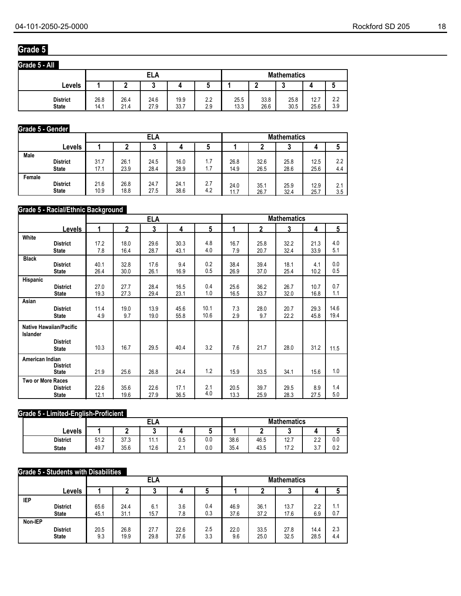## **Grade 5**

| Grade 5 - All                   |              |              |              |              |            |              |              |                    |              |            |
|---------------------------------|--------------|--------------|--------------|--------------|------------|--------------|--------------|--------------------|--------------|------------|
|                                 |              |              | ELA          |              |            |              |              | <b>Mathematics</b> |              |            |
| Levels                          |              |              |              |              |            |              | ٠            | $\bullet$          |              |            |
| <b>District</b><br><b>State</b> | 26.8<br>14.1 | 26.4<br>21.4 | 24.6<br>27.9 | 19.9<br>33.7 | 2.2<br>2.9 | 25.5<br>13.3 | 33.8<br>26.6 | 25.8<br>30.5       | 12.7<br>25.6 | 2.2<br>3.9 |

#### **Grade 5 - Gender**

|        |                 |      |      | ELA  |      |     | <b>Mathematics</b> |      |      |      |                  |
|--------|-----------------|------|------|------|------|-----|--------------------|------|------|------|------------------|
|        | Levels          |      |      | u    |      |     |                    |      | u    | 4    |                  |
| Male   | <b>District</b> | 31.7 | 26.1 | 24.5 | 16.0 | 1.7 | 26.8               | 32.6 | 25.8 | 12.5 | $2.2\phantom{0}$ |
|        | <b>State</b>    | 17.1 | 23.9 | 28.4 | 28.9 | 1.7 | 14.9               | 26.5 | 28.6 | 25.6 | 4.4              |
| Female | <b>District</b> | 21.6 | 26.8 | 24.7 | 24.1 | 2.7 | 24.0               | 35.1 | 25.9 | 12.9 | 2.1              |
|        | <b>State</b>    | 10.9 | 18.8 | 27.5 | 38.6 | 4.2 | 11.7               | 26.7 | 32.4 | 25.7 | 3.5              |

#### **Grade 5 - Racial/Ethnic Background**

|                   |                                 | <b>ELA</b> |              |      |      | <b>Mathematics</b> |      |              |      |      |      |
|-------------------|---------------------------------|------------|--------------|------|------|--------------------|------|--------------|------|------|------|
|                   | Levels                          | 1          | $\mathbf{2}$ | 3    | 4    | 5                  | 1    | $\mathbf{2}$ | 3    | 4    | 5    |
| White             | <b>District</b>                 | 17.2       | 18.0         | 29.6 | 30.3 | 4.8                | 16.7 | 25.8         | 32.2 | 21.3 | 4.0  |
|                   | <b>State</b>                    | 7.8        | 16.4         | 28.7 | 43.1 | 4.0                | 7.9  | 20.7         | 32.4 | 33.9 | 5.1  |
| <b>Black</b>      | <b>District</b>                 | 40.1       | 32.8         | 17.6 | 9.4  | 0.2                | 38.4 | 39.4         | 18.1 | 4.1  | 0.0  |
|                   | <b>State</b>                    | 26.4       | 30.0         | 26.1 | 16.9 | 0.5                | 26.9 | 37.0         | 25.4 | 10.2 | 0.5  |
| Hispanic          | <b>District</b>                 | 27.0       | 27.7         | 28.4 | 16.5 | 0.4                | 25.6 | 36.2         | 26.7 | 10.7 | 0.7  |
|                   | <b>State</b>                    | 19.3       | 27.3         | 29.4 | 23.1 | 1.0                | 16.5 | 33.7         | 32.0 | 16.8 | 1.1  |
| Asian             | <b>District</b>                 | 11.4       | 19.0         | 13.9 | 45.6 | 10.1               | 7.3  | 28.0         | 20.7 | 29.3 | 14.6 |
|                   | <b>State</b>                    | 4.9        | 9.7          | 19.0 | 55.8 | 10.6               | 2.9  | 9.7          | 22.2 | 45.8 | 19.4 |
| <b>Islander</b>   | <b>Native Hawaiian/Pacific</b>  |            |              |      |      |                    |      |              |      |      |      |
|                   | <b>District</b><br><b>State</b> | 10.3       | 16.7         | 29.5 | 40.4 | 3.2                | 7.6  | 21.7         | 28.0 | 31.2 | 11.5 |
| American Indian   | <b>District</b><br><b>State</b> | 21.9       | 25.6         | 26.8 | 24.4 | 1.2                | 15.9 | 33.5         | 34.1 | 15.6 | 1.0  |
| Two or More Races | <b>District</b>                 | 22.6       | 35.6         | 22.6 | 17.1 | 2.1                | 20.5 | 39.7         | 29.5 | 8.9  | 1.4  |
|                   | <b>State</b>                    | 12.1       | 19.6         | 27.9 | 36.5 | 4.0                | 13.3 | 25.9         | 28.3 | 27.5 | 5.0  |

## **Grade 5 - Limited-English-Proficient**

|                 |      |      | ELA      |     |     | <b>Mathematics</b> |      |      |                   |     |  |
|-----------------|------|------|----------|-----|-----|--------------------|------|------|-------------------|-----|--|
| ∟evels          |      |      |          |     | ີ   |                    |      | ີ    | -                 |     |  |
| <b>District</b> | 51.2 | 37.3 | 4 A<br>. | U.5 | 0.0 | 38.6               | 46.5 | 12.7 | $\sim$<br>2.2     | 0.0 |  |
| <b>State</b>    | 49.7 | 35.6 | 12.6     | ົ   | 0.0 | 35.4               | 43.5 | 17.2 | <u>^ -</u><br>v.ı | 0.2 |  |

#### **Grade 5 - Students with Disabilities**

|            |                 |      |      | ELA  |      |     |      |      | <b>Mathematics</b> |      |     |
|------------|-----------------|------|------|------|------|-----|------|------|--------------------|------|-----|
|            | <b>Levels</b>   |      |      | u    |      | u   |      |      | <b>N</b>           | 4    |     |
| <b>IEP</b> | <b>District</b> | 65.6 | 24.4 | 6.1  | 3.6  | 0.4 | 46.9 | 36.1 | 13.7               | 2.2  | 1.1 |
|            | <b>State</b>    | 45.1 | 31.1 | 15.7 | 7.8  | 0.3 | 37.6 | 37.2 | 17.6               | 6.9  | 0.7 |
| Non-IEP    | <b>District</b> | 20.5 | 26.8 | 27.7 | 22.6 | 2.5 | 22.0 | 33.5 | 27.8               | 14.4 | 2.3 |
|            | <b>State</b>    | 9.3  | 19.9 | 29.8 | 37.6 | 3.3 | 9.6  | 25.0 | 32.5               | 28.5 | 4.4 |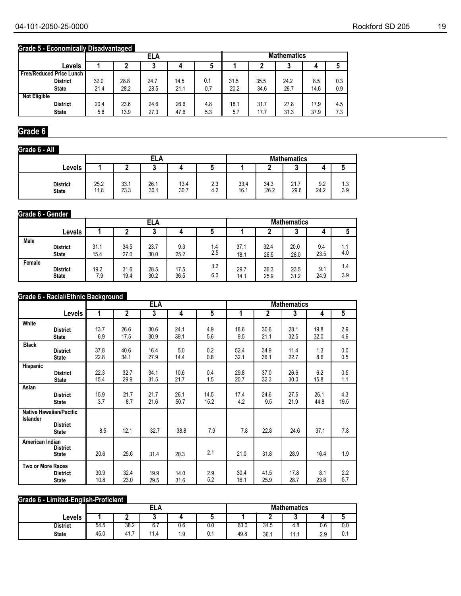## **Grade 5 - Economically Disadvantaged**

|                                 |      |      | <b>ELA</b> |      |     | <b>Mathematics</b> |      |      |      |     |
|---------------------------------|------|------|------------|------|-----|--------------------|------|------|------|-----|
| <b>Levels</b>                   |      |      |            |      | a   |                    |      |      | 4    |     |
| <b>Free/Reduced Price Lunch</b> |      |      |            |      |     |                    |      |      |      |     |
| <b>District</b>                 | 32.0 | 28.8 | 24.7       | 14.5 | 0.1 | 31.5               | 35.5 | 24.2 | 8.5  | 0.3 |
| <b>State</b>                    | 21.4 | 28.2 | 28.5       | 21.1 | 0.7 | 20.2               | 34.6 | 29.7 | 14.6 | 0.9 |
| <b>Not Eligible</b>             |      |      |            |      |     |                    |      |      |      |     |
| <b>District</b>                 | 20.4 | 23.6 | 24.6       | 26.6 | 4.8 | 18.1               | 31.7 | 27.8 | 17.9 | 4.5 |
| <b>State</b>                    | 5.8  | 13.9 | 27.3       | 47.6 | 5.3 | 5.7                | 17.7 | 31.3 | 37.9 | 7.3 |

## **Grade 6**

### **Grade 6 - All**

|                                 |              |              | <b>ELA</b>   |              |            |              |              | <b>Mathematics</b>             |             |            |
|---------------------------------|--------------|--------------|--------------|--------------|------------|--------------|--------------|--------------------------------|-------------|------------|
| Levels                          |              |              |              |              |            |              |              | ν                              |             | u          |
| <b>District</b><br><b>State</b> | 25.2<br>11.8 | 33.1<br>23.3 | 26.1<br>30.1 | 13.4<br>30.7 | 2.3<br>4.2 | 33.4<br>16.1 | 34.3<br>26.2 | $\overline{ }$<br>21.7<br>29.6 | 9.2<br>24.2 | 1.3<br>3.9 |

#### **Grade 6 - Gender**

|        |                 |      |      | ELA  |      |     | <b>Mathematics</b> |      |        |      |     |
|--------|-----------------|------|------|------|------|-----|--------------------|------|--------|------|-----|
|        | Levels          |      |      | u    |      |     |                    |      | ົ<br>J | 4    |     |
| Male   | <b>District</b> | 31.1 | 34.5 | 23.7 | 9.3  | 1.4 | 37.1               | 32.4 | 20.0   | 9.4  | 1.1 |
|        | <b>State</b>    | 15.4 | 27.0 | 30.0 | 25.2 | 2.5 | 18.1               | 26.5 | 28.0   | 23.5 | 4.0 |
| Female | <b>District</b> | 19.2 | 31.6 | 28.5 | 17.5 | 3.2 | 29.7               | 36.3 | 23.5   | 9.1  | 1.4 |
|        | <b>State</b>    | 7.9  | 19.4 | 30.2 | 36.5 | 6.0 | 14.1               | 25.9 | 31.2   | 24.9 | 3.9 |

## **Grade 6 - Racial/Ethnic Background**

|                          |                                                                   |      |                | <b>ELA</b> |      |                |      |              | <b>Mathematics</b> |      |                |
|--------------------------|-------------------------------------------------------------------|------|----------------|------------|------|----------------|------|--------------|--------------------|------|----------------|
|                          | <b>Levels</b>                                                     | 1    | $\overline{2}$ | 3          | 4    | $\overline{5}$ | 1    | $\mathbf{2}$ | 3                  | 4    | $\overline{5}$ |
| White                    | <b>District</b>                                                   | 13.7 | 26.6           | 30.6       | 24.1 | 4.9            | 18.6 | 30.6         | 28.1               | 19.8 | 2.9            |
|                          | <b>State</b>                                                      | 6.9  | 17.5           | 30.9       | 39.1 | 5.6            | 9.5  | 21.1         | 32.5               | 32.0 | 4.9            |
| <b>Black</b>             | <b>District</b>                                                   | 37.8 | 40.6           | 16.4       | 5.0  | 0.2            | 52.4 | 34.9         | 11.4               | 1.3  | 0.0            |
|                          | <b>State</b>                                                      | 22.8 | 34.1           | 27.9       | 14.4 | 0.8            | 32.1 | 36.1         | 22.7               | 8.6  | 0.5            |
| Hispanic                 | <b>District</b>                                                   | 22.3 | 32.7           | 34.1       | 10.6 | 0.4            | 29.8 | 37.0         | 26.6               | 6.2  | 0.5            |
|                          | <b>State</b>                                                      | 15.4 | 29.9           | 31.5       | 21.7 | 1.5            | 20.7 | 32.3         | 30.0               | 15.8 | 1.1            |
| Asian                    | <b>District</b>                                                   | 15.9 | 21.7           | 21.7       | 26.1 | 14.5           | 17.4 | 24.6         | 27.5               | 26.1 | 4.3            |
|                          | <b>State</b>                                                      | 3.7  | 8.7            | 21.6       | 50.7 | 15.2           | 4.2  | 9.5          | 21.9               | 44.8 | 19.5           |
| <b>Islander</b>          | <b>Native Hawaiian/Pacific</b><br><b>District</b><br><b>State</b> | 8.5  | 12.1           | 32.7       | 38.8 | 7.9            | 7.8  | 22.8         | 24.6               | 37.1 | 7.8            |
| American Indian          | <b>District</b><br><b>State</b>                                   | 20.6 | 25.6           | 31.4       | 20.3 | 2.1            | 21.0 | 31.8         | 28.9               | 16.4 | 1.9            |
| <b>Two or More Races</b> | <b>District</b>                                                   | 30.9 | 32.4           | 19.9       | 14.0 | 2.9            | 30.4 | 41.5         | 17.8               | 8.1  | 2.2            |
|                          | <b>State</b>                                                      | 10.8 | 23.0           | 29.5       | 31.6 | 5.2            | 16.1 | 25.9         | 28.7               | 23.6 | 5.7            |

#### **Grade 6 - Limited-English-Proficient**

|                 |      |          | ELA  |     |     | <b>Mathematics</b> |                       |     |     |     |  |
|-----------------|------|----------|------|-----|-----|--------------------|-----------------------|-----|-----|-----|--|
| Levels          |      |          |      |     |     |                    |                       | ີ   | ,,  |     |  |
| <b>District</b> | 54.5 | 38.2     | 6.7  | 0.6 | 0.0 | 63.0               | $\sim$<br>-<br>ن. ا ن | 4.8 | 0.6 | 0.0 |  |
| <b>State</b>    | 45.0 | 41.<br>- | 11.4 | ∣.9 | 0.1 | 49.8               | 36.1                  | . . | 2.9 | 0.1 |  |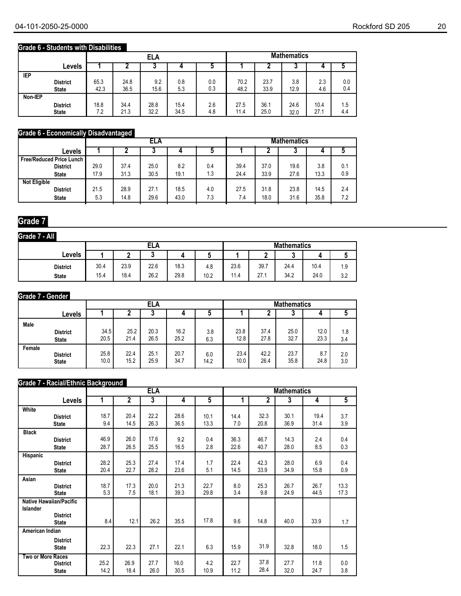## **Grade 6 - Students with Disabilities**

|            |                 |      |      | <b>ELA</b> |      |     | <b>Mathematics</b> |      |      |      |     |
|------------|-----------------|------|------|------------|------|-----|--------------------|------|------|------|-----|
|            | Levels          |      |      | J          |      |     |                    |      | ν    |      |     |
| <b>IEP</b> | <b>District</b> | 65.3 | 24.8 | 9.2        | 0.8  | 0.0 | 70.2               | 23.7 | 3.8  | 2.3  | 0.0 |
|            | <b>State</b>    | 42.3 | 36.5 | 15.6       | 5.3  | 0.3 | 48.2               | 33.9 | 12.9 | 4.6  | 0.4 |
| Non-IEP    | <b>District</b> | 18.8 | 34.4 | 28.8       | 15.4 | 2.6 | 27.5               | 36.1 | 24.6 | 10.4 | 1.5 |
|            | <b>State</b>    | 7.2  | 21.3 | 32.2       | 34.5 | 4.8 | 11.4               | 25.0 | 32.0 | 27.1 | 4.4 |

## **Grade 6 - Economically Disadvantaged**

|                            |      | ELA  |      |      |     |      | <b>Mathematics</b> |      |      |     |  |
|----------------------------|------|------|------|------|-----|------|--------------------|------|------|-----|--|
| Levels                     |      |      |      |      |     |      |                    |      |      |     |  |
| Free/Reduced Price Lunch I |      |      |      |      |     |      |                    |      |      |     |  |
| <b>District</b>            | 29.0 | 37.4 | 25.0 | 8.2  | 0.4 | 39.4 | 37.0               | 19.6 | 3.8  | 0.1 |  |
| <b>State</b>               | 17.9 | 31.3 | 30.5 | 19.1 | 1.3 | 24.4 | 33.9               | 27.6 | 13.3 | 0.9 |  |
| <b>Not Eligible</b>        |      |      |      |      |     |      |                    |      |      |     |  |
| <b>District</b>            | 21.5 | 28.9 | 27.1 | 18.5 | 4.0 | 27.5 | 31.8               | 23.8 | 14.5 | 2.4 |  |
| <b>State</b>               | 5.3  | 14.8 | 29.6 | 43.0 | 7.3 | 7.4  | 18.0               | 31.6 | 35.8 | 7.2 |  |

## **Grade 7**

| Grade 7 - All   |      |      |      |      |      |      |      |                    |      |     |
|-----------------|------|------|------|------|------|------|------|--------------------|------|-----|
|                 |      |      | ELA  |      |      |      |      | <b>Mathematics</b> |      |     |
| <b>Levels</b>   |      |      | u    |      | w    |      | c    | n<br>۰.            |      |     |
| <b>District</b> | 30.4 | 23.9 | 22.6 | 18.3 | 4.8  | 23.6 | 39.7 | 24.4               | 10.4 | 1.9 |
| <b>State</b>    | 15.4 | 18.4 | 26.2 | 29.8 | 10.2 | 11.4 | 27.1 | 34.2               | 24.0 | 3.2 |

#### **Grade 7 - Gender**

|        |                 |      | ELA<br>4 |      |      |      |      | <b>Mathematics</b> |      |      |     |
|--------|-----------------|------|----------|------|------|------|------|--------------------|------|------|-----|
|        | Levels          |      |          |      |      |      |      |                    |      |      | J   |
| Male   | <b>District</b> | 34.5 | 25.2     | 20.3 | 16.2 | 3.8  | 23.8 | 37.4               | 25.0 | 12.0 | 1.8 |
|        | <b>State</b>    | 20.5 | 21.4     | 26.5 | 25.2 | 6.3  | 12.8 | 27.8               | 32.7 | 23.3 | 3.4 |
| Female | <b>District</b> | 25.8 | 22.4     | 25.1 | 20.7 | 6.0  | 23.4 | 42.2               | 23.7 | 8.7  | 2.0 |
|        | <b>State</b>    | 10.0 | 15.2     | 25.9 | 34.7 | 14.2 | 10.0 | 26.4               | 35.8 | 24.8 | 3.0 |

#### **Grade 7 - Racial/Ethnic Background**

|                   |                                |      |              | <b>ELA</b> |      |                |      |      | <b>Mathematics</b> |      |      |
|-------------------|--------------------------------|------|--------------|------------|------|----------------|------|------|--------------------|------|------|
|                   | <b>Levels</b>                  | 1    | $\mathbf{2}$ | 3          | 4    | $\overline{5}$ | 1    | 2    | 3                  | 4    | 5    |
| White             |                                |      |              |            |      |                |      |      |                    |      |      |
|                   | <b>District</b>                | 18.7 | 20.4         | 22.2       | 28.6 | 10.1           | 14.4 | 32.3 | 30.1               | 19.4 | 3.7  |
|                   | <b>State</b>                   | 9.4  | 14.5         | 26.3       | 36.5 | 13.3           | 7.0  | 20.8 | 36.9               | 31.4 | 3.9  |
| <b>Black</b>      |                                |      |              |            |      |                |      |      |                    |      |      |
|                   | <b>District</b>                | 46.9 | 26.0         | 17.6       | 9.2  | 0.4            | 36.3 | 46.7 | 14.3               | 2.4  | 0.4  |
|                   | <b>State</b>                   | 28.7 | 26.5         | 25.5       | 16.5 | 2.8            | 22.6 | 40.7 | 28.0               | 8.5  | 0.3  |
| Hispanic          |                                |      |              |            |      |                |      |      |                    |      |      |
|                   | <b>District</b>                | 28.2 | 25.3         | 27.4       | 17.4 | 1.7            | 22.4 | 42.3 | 28.0               | 6.9  | 0.4  |
|                   | <b>State</b>                   | 20.4 | 22.7         | 28.2       | 23.6 | 5.1            | 14.5 | 33.9 | 34.9               | 15.8 | 0.9  |
| Asian             |                                |      |              |            |      |                |      |      |                    |      |      |
|                   | <b>District</b>                | 18.7 | 17.3         | 20.0       | 21.3 | 22.7           | 8.0  | 25.3 | 26.7               | 26.7 | 13.3 |
|                   | <b>State</b>                   | 5.3  | 7.5          | 18.1       | 39.3 | 29.8           | 3.4  | 9.8  | 24.9               | 44.5 | 17.3 |
|                   | <b>Native Hawaiian/Pacific</b> |      |              |            |      |                |      |      |                    |      |      |
| <b>Islander</b>   |                                |      |              |            |      |                |      |      |                    |      |      |
|                   | <b>District</b>                | 8.4  | 12.1         | 26.2       | 35.5 | 17.8           | 9.6  | 14.8 | 40.0               | 33.9 | 1.7  |
|                   | <b>State</b>                   |      |              |            |      |                |      |      |                    |      |      |
| American Indian   |                                |      |              |            |      |                |      |      |                    |      |      |
|                   | <b>District</b>                |      |              |            |      |                |      |      |                    |      |      |
|                   | <b>State</b>                   | 22.3 | 22.3         | 27.1       | 22.1 | 6.3            | 15.9 | 31.9 | 32.8               | 18.0 | 1.5  |
| Two or More Races |                                |      |              |            |      |                |      |      |                    |      |      |
|                   | <b>District</b>                | 25.2 | 26.9         | 27.7       | 16.0 | 4.2            | 22.7 | 37.8 | 27.7               | 11.8 | 0.0  |
|                   | <b>State</b>                   | 14.2 | 18.4         | 26.0       | 30.5 | 10.9           | 11.2 | 28.4 | 32.0               | 24.7 | 3.8  |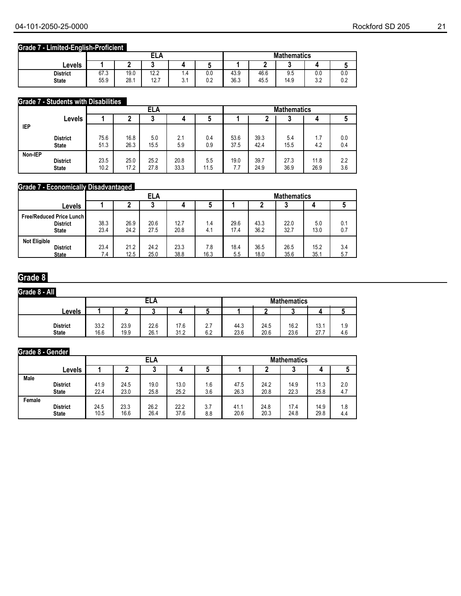## **Grade 7 - Limited-English-Proficient**

|                                 |              |              | ᄗᅀ<br>டட∩           |                       |            | <b>Mathematics</b> |              |             |                  |            |  |
|---------------------------------|--------------|--------------|---------------------|-----------------------|------------|--------------------|--------------|-------------|------------------|------------|--|
| <b>Levels</b>                   |              |              |                     |                       |            |                    | -            |             |                  |            |  |
| <b>District</b><br><b>State</b> | 67.3<br>55.9 | 19.0<br>28.1 | 12.2<br>407<br>، ۱۷ | 1.4<br>$\sim$<br>◡. । | 0.0<br>0.2 | 43.9<br>36.3       | 46.6<br>45.5 | 9.5<br>14.9 | 0.0<br>າາ<br>v.L | 0.0<br>0.2 |  |

## **Grade 7 - Students with Disabilities**

|            |                                 |              |              | ELA          |              |             | <b>Mathematics</b> |              |              |              |            |
|------------|---------------------------------|--------------|--------------|--------------|--------------|-------------|--------------------|--------------|--------------|--------------|------------|
|            | Levels                          |              |              | ּ            | 4            | u           |                    |              |              |              |            |
| <b>IEP</b> |                                 |              |              |              |              |             |                    |              |              |              |            |
|            | <b>District</b><br><b>State</b> | 75.6<br>51.3 | 16.8<br>26.3 | 5.0<br>15.5  | 2.1<br>5.9   | 0.4<br>0.9  | 53.6<br>37.5       | 39.3<br>42.4 | 5.4<br>15.5  | 1.7<br>4.2   | 0.0<br>0.4 |
| Non-IEP    | <b>District</b><br><b>State</b> | 23.5<br>10.2 | 25.0<br>17.2 | 25.2<br>27.8 | 20.8<br>33.3 | 5.5<br>11.5 | 19.0<br>7.7        | 39.7<br>24.9 | 27.3<br>36.9 | 11.8<br>26.9 | 2.2<br>3.6 |

## **Grade 7 - Economically Disadvantaged**

|                                                                      |              |              | <b>ELA</b>   |              |             |              |              | <b>Mathematics</b> |              |            |
|----------------------------------------------------------------------|--------------|--------------|--------------|--------------|-------------|--------------|--------------|--------------------|--------------|------------|
| Levels                                                               |              | 4<br>J<br>ν  |              |              |             |              |              |                    |              |            |
| <b>Free/Reduced Price Lunch I</b><br><b>District</b><br><b>State</b> | 38.3<br>23.4 | 26.9<br>24.2 | 20.6<br>27.5 | 12.7<br>20.8 | 1.4<br>4.1  | 29.6<br>17.4 | 43.3<br>36.2 | 22.0<br>32.7       | 5.0<br>13.0  | 0.1<br>0.7 |
| <b>Not Eligible</b><br><b>District</b><br><b>State</b>               | 23.4<br>7.4  | 21.2<br>12.5 | 24.2<br>25.0 | 23.3<br>38.8 | 7.8<br>16.3 | 18.4<br>5.5  | 36.5<br>18.0 | 26.5<br>35.6       | 15.2<br>35.1 | 3.4<br>5.7 |

## **Grade 8**

## **Grade 8 - All**

| --------<br>-----               |              |              |              |              |            |              |                    |              |                          |            |  |  |
|---------------------------------|--------------|--------------|--------------|--------------|------------|--------------|--------------------|--------------|--------------------------|------------|--|--|
|                                 |              | ELA          |              |              |            |              | <b>Mathematics</b> |              |                          |            |  |  |
| Levels                          |              |              |              |              |            |              |                    |              |                          |            |  |  |
| <b>District</b><br><b>State</b> | 33.2<br>16.6 | 23.9<br>19.9 | 22.6<br>26.1 | 17.6<br>31.2 | 2.7<br>6.2 | 44.3<br>23.6 | 24.5<br>20.6       | 16.2<br>23.6 | 13.1<br>77.7<br><u>.</u> | 1.9<br>4.6 |  |  |

## **Grade 8 - Gender**

|        |                 |      |      | ELA  |      |     | <b>Mathematics</b> |      |      |      |     |  |
|--------|-----------------|------|------|------|------|-----|--------------------|------|------|------|-----|--|
|        | <b>Levels</b>   |      | u    |      |      |     |                    |      | w    |      |     |  |
| Male   | <b>District</b> | 41.9 | 24.5 | 19.0 | 13.0 | 1.6 | 47.5               | 24.2 | 14.9 | 11.3 | 2.0 |  |
|        | <b>State</b>    | 22.4 | 23.0 | 25.8 | 25.2 | 3.6 | 26.3               | 20.8 | 22.3 | 25.8 | 4.7 |  |
| Female | <b>District</b> | 24.5 | 23.3 | 26.2 | 22.2 | 3.7 | 41.1               | 24.8 | 17.4 | 14.9 | 1.8 |  |
|        | <b>State</b>    | 10.5 | 16.6 | 26.4 | 37.6 | 8.8 | 20.6               | 20.3 | 24.8 | 29.8 | 4.4 |  |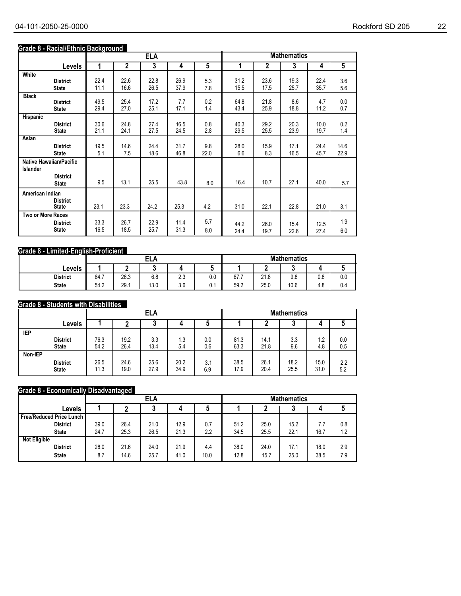## **Grade 8 - Racial/Ethnic Background**

|                   |                                                   |      |                | <b>ELA</b> |      |                |      |             | <b>Mathematics</b> |      |                |
|-------------------|---------------------------------------------------|------|----------------|------------|------|----------------|------|-------------|--------------------|------|----------------|
|                   | <b>Levels</b>                                     | 1    | $\overline{2}$ | 3          | 4    | $\overline{5}$ | 1    | $\mathbf 2$ | 3                  | 4    | $\overline{5}$ |
| White             | <b>District</b>                                   | 22.4 | 22.6           | 22.8       | 26.9 | 5.3            | 31.2 | 23.6        | 19.3               | 22.4 | 3.6            |
|                   | <b>State</b>                                      | 11.1 | 16.6           | 26.5       | 37.9 | 7.8            | 15.5 | 17.5        | 25.7               | 35.7 | 5.6            |
| <b>Black</b>      | <b>District</b>                                   | 49.5 | 25.4           | 17.2       | 7.7  | 0.2            | 64.8 | 21.8        | 8.6                | 4.7  | 0.0            |
|                   | <b>State</b>                                      | 29.4 | 27.0           | 25.1       | 17.1 | 1.4            | 43.4 | 25.9        | 18.8               | 11.2 | 0.7            |
| Hispanic          | <b>District</b>                                   | 30.6 | 24.8           | 27.4       | 16.5 | 0.8            | 40.3 | 29.2        | 20.3               | 10.0 | 0.2            |
|                   | <b>State</b>                                      | 21.1 | 24.1           | 27.5       | 24.5 | 2.8            | 29.5 | 25.5        | 23.9               | 19.7 | 1.4            |
| Asian             | <b>District</b>                                   | 19.5 | 14.6           | 24.4       | 31.7 | 9.8            | 28.0 | 15.9        | 17.1               | 24.4 | 14.6           |
|                   | <b>State</b>                                      | 5.1  | 7.5            | 18.6       | 46.8 | 22.0           | 6.6  | 8.3         | 16.5               | 45.7 | 22.9           |
| Islander          | <b>Native Hawaiian/Pacific</b><br><b>District</b> |      |                |            |      |                |      |             |                    |      |                |
|                   | <b>State</b>                                      | 9.5  | 13.1           | 25.5       | 43.8 | 8.0            | 16.4 | 10.7        | 27.1               | 40.0 | 5.7            |
| American Indian   | <b>District</b><br><b>State</b>                   | 23.1 | 23.3           | 24.2       | 25.3 | 4.2            | 31.0 | 22.1        | 22.8               | 21.0 | 3.1            |
| Two or More Races | <b>District</b>                                   | 33.3 | 26.7           | 22.9       | 11.4 | 5.7            | 44.2 | 26.0        | 15.4               | 12.5 | 1.9            |
|                   | <b>State</b>                                      | 16.5 | 18.5           | 25.7       | 31.3 | 8.0            | 24.4 | 19.7        | 22.6               | 27.4 | 6.0            |

## **Grade 8 - Limited-English-Proficient**

|                 |      |      | ELA  |     |                      | <b>Mathematics</b> |      |      |     |     |  |
|-----------------|------|------|------|-----|----------------------|--------------------|------|------|-----|-----|--|
| Levels          |      |      | u    |     | $\ddot{\phantom{1}}$ |                    |      |      |     |     |  |
| <b>District</b> | 64.7 | 26.3 | 6.8  | 2.3 | 0.0                  | 67.7               | 21.8 | 9.8  | 0.8 | 0.0 |  |
| <b>State</b>    | 54.2 | 29.1 | 13.0 | 3.6 | v.                   | 59.2               | 25.0 | 10.6 | 4.8 | 0.4 |  |

#### **Grade 8 - Students with Disabilities**

|         |                 |      |      | <b>ELA</b> |      |     | <b>Mathematics</b> |      |      |      |     |
|---------|-----------------|------|------|------------|------|-----|--------------------|------|------|------|-----|
|         | Levels          |      |      | ν          |      | M   |                    |      | ۰.   |      | u   |
| IEP     | <b>District</b> | 76.3 | 19.2 | 3.3        | 1.3  | 0.0 | 81.3               | 14.1 | 3.3  | 1.2  | 0.0 |
|         | <b>State</b>    | 54.2 | 26.4 | 13.4       | 5.4  | 0.6 | 63.3               | 21.8 | 9.6  | 4.8  | 0.5 |
| Non-IEP | <b>District</b> | 26.5 | 24.6 | 25.6       | 20.2 | 3.1 | 38.5               | 26.1 | 18.2 | 15.0 | 2.2 |
|         | <b>State</b>    | 11.3 | 19.0 | 27.9       | 34.9 | 6.9 | 17.9               | 20.4 | 25.5 | 31.0 | 5.2 |

#### **Grade 8 - Economically Disadvantaged**

|                                 |      |      | <b>ELA</b> |      |      | <b>Mathematics</b> |      |      |      |     |  |
|---------------------------------|------|------|------------|------|------|--------------------|------|------|------|-----|--|
| Levels                          |      |      |            |      |      |                    |      |      |      |     |  |
| <b>Free/Reduced Price Lunch</b> |      |      |            |      |      |                    |      |      |      |     |  |
| <b>District</b>                 | 39.0 | 26.4 | 21.0       | 12.9 | 0.7  | 51.2               | 25.0 | 15.2 | 7.7  | 0.8 |  |
| <b>State</b>                    | 24.7 | 25.3 | 26.5       | 21.3 | 2.2  | 34.5               | 25.5 | 22.1 | 16.7 | 1.2 |  |
| <b>Not Eligible</b>             |      |      |            |      |      |                    |      |      |      |     |  |
| <b>District</b>                 | 28.0 | 21.6 | 24.0       | 21.9 | 4.4  | 38.0               | 24.0 | 17.1 | 18.0 | 2.9 |  |
| <b>State</b>                    | 8.7  | 14.6 | 25.7       | 41.0 | 10.0 | 12.8               | 15.7 | 25.0 | 38.5 | 7.9 |  |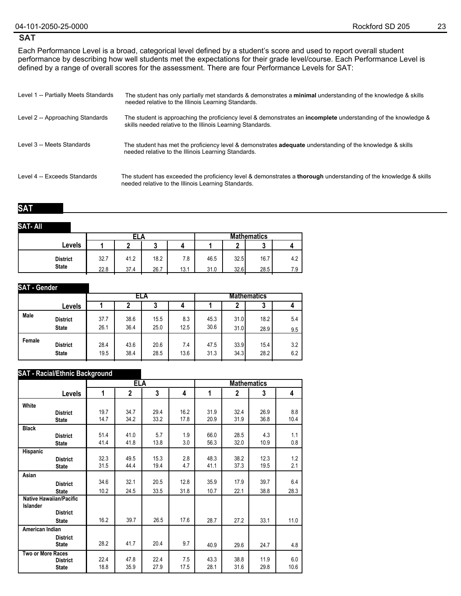#### **SAT**

Each Performance Level is a broad, categorical level defined by a student's score and used to report overall student performance by describing how well students met the expectations for their grade level/course. Each Performance Level is defined by a range of overall scores for the assessment. There are four Performance Levels for SAT:

| Level 1 -- Partially Meets Standards | The student has only partially met standards & demonstrates a minimal understanding of the knowledge & skills<br>needed relative to the Illinois Learning Standards.                |
|--------------------------------------|-------------------------------------------------------------------------------------------------------------------------------------------------------------------------------------|
| Level 2 -- Approaching Standards     | The student is approaching the proficiency level & demonstrates an <b>incomplete</b> understanding of the knowledge &<br>skills needed relative to the Illinois Learning Standards. |
| Level 3 -- Meets Standards           | The student has met the proficiency level & demonstrates <b>adequate</b> understanding of the knowledge & skills<br>needed relative to the Illinois Learning Standards.             |
| Level 4 -- Exceeds Standards         | The student has exceeded the proficiency level & demonstrates a <b>thorough</b> understanding of the knowledge & skills<br>needed relative to the Illinois Learning Standards.      |

#### **SAT**

#### **SAT- All**

|                 |      | ELA  |      |      |      | <b>Mathematics</b> |      |     |  |  |
|-----------------|------|------|------|------|------|--------------------|------|-----|--|--|
| Levels          |      |      |      |      |      | c                  |      |     |  |  |
| <b>District</b> | 32.7 | 41.2 | 18.2 | 7.8  | 46.5 | 32.5               | 16.7 | 4.2 |  |  |
| <b>State</b>    | 22.8 | 37.4 | 26.7 | 13.1 | 31.0 | 32.6               | 28.5 | 7.9 |  |  |

| <b>SAT</b> - Gender |                                 |              |              |              |             |                    |              |              |            |
|---------------------|---------------------------------|--------------|--------------|--------------|-------------|--------------------|--------------|--------------|------------|
|                     |                                 |              |              | ELA          |             | <b>Mathematics</b> |              |              |            |
|                     | Levels                          |              |              | J            | 4           |                    |              | ٠J           |            |
| Male                | <b>District</b><br><b>State</b> | 37.7<br>26.1 | 38.6<br>36.4 | 15.5<br>25.0 | 8.3<br>12.5 | 45.3<br>30.6       | 31.0<br>31.0 | 18.2<br>28.9 | 5.4<br>9.5 |
| Female              | <b>District</b><br><b>State</b> | 28.4<br>19.5 | 43.6<br>38.4 | 20.6<br>28.5 | 7.4<br>13.6 | 47.5<br>31.3       | 33.9<br>34.3 | 15.4<br>28.2 | 3.2<br>6.2 |

#### **SAT - Racial/Ethnic Background**

|                          |                                 |              | <b>ELA</b>     |              |              | <b>Mathematics</b> |                |              |             |  |  |
|--------------------------|---------------------------------|--------------|----------------|--------------|--------------|--------------------|----------------|--------------|-------------|--|--|
|                          | Levels                          | 1            | $\overline{2}$ | 3            | 4            | 1                  | $\overline{2}$ | 3            | 4           |  |  |
| White                    |                                 |              |                |              |              |                    |                |              |             |  |  |
|                          | <b>District</b><br><b>State</b> | 19.7<br>14.7 | 34.7<br>34.2   | 29.4<br>33.2 | 16.2<br>17.8 | 31.9<br>20.9       | 32.4<br>31.9   | 26.9<br>36.8 | 8.8<br>10.4 |  |  |
| <b>Black</b>             |                                 |              |                |              |              |                    |                |              |             |  |  |
|                          | <b>District</b><br><b>State</b> | 51.4<br>41.4 | 41.0<br>41.8   | 5.7<br>13.8  | 1.9<br>3.0   | 66.0<br>56.3       | 28.5<br>32.0   | 4.3<br>10.9  | 1.1<br>0.8  |  |  |
| Hispanic                 |                                 |              |                |              |              |                    |                |              |             |  |  |
|                          | <b>District</b><br><b>State</b> | 32.3<br>31.5 | 49.5<br>44.4   | 15.3<br>19.4 | 2.8<br>4.7   | 48.3<br>41.1       | 38.2<br>37.3   | 12.3<br>19.5 | 1.2<br>2.1  |  |  |
| Asian                    |                                 |              |                |              |              |                    |                |              |             |  |  |
|                          | <b>District</b>                 | 34.6         | 32.1           | 20.5         | 12.8         | 35.9               | 17.9           | 39.7         | 6.4         |  |  |
|                          | <b>State</b>                    | 10.2         | 24.5           | 33.5         | 31.8         | 10.7               | 22.1           | 38.8         | 28.3        |  |  |
| Islander                 | <b>Native Hawaiian/Pacific</b>  |              |                |              |              |                    |                |              |             |  |  |
|                          | <b>District</b>                 |              |                |              |              |                    |                |              |             |  |  |
|                          | <b>State</b>                    | 16.2         | 39.7           | 26.5         | 17.6         | 28.7               | 27.2           | 33.1         | 11.0        |  |  |
| American Indian          |                                 |              |                |              |              |                    |                |              |             |  |  |
|                          | <b>District</b><br><b>State</b> | 28.2         | 41.7           | 20.4         | 9.7          | 40.9               | 29.6           | 24.7         | 4.8         |  |  |
| <b>Two or More Races</b> | <b>District</b><br><b>State</b> | 22.4<br>18.8 | 47.8<br>35.9   | 22.4<br>27.9 | 7.5<br>17.5  | 43.3<br>28.1       | 38.8<br>31.6   | 11.9<br>29.8 | 6.0<br>10.6 |  |  |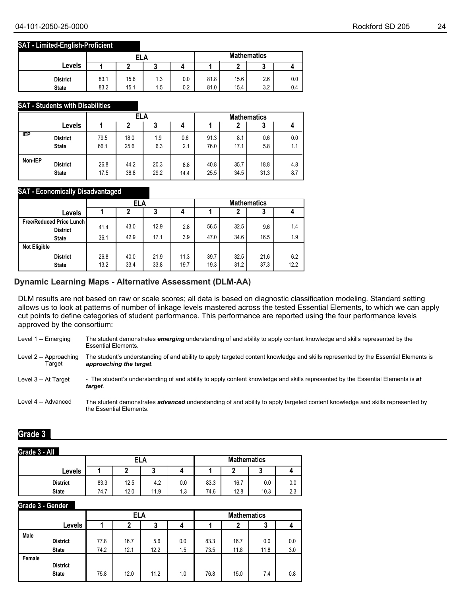#### **SAT - Limited-English-Proficient**

|                 |      | ELA  |     |     |      | <b>Mathematics</b> |     |     |  |  |
|-----------------|------|------|-----|-----|------|--------------------|-----|-----|--|--|
| Levels          |      |      | u   |     |      | ◠                  | ×.  |     |  |  |
| <b>District</b> | 83.1 | 15.6 | 1.3 | 0.0 | 81.8 | 15.6               | 2.6 | 0.0 |  |  |
| <b>State</b>    | 83.2 | 15.1 | 1.5 | 0.2 | 81.0 | 15.4               | 3.2 | 0.4 |  |  |

#### **SAT - Students with Disabilities**

|            |                 |      | <b>ELA</b> |      |      | <b>Mathematics</b> |      |      |     |  |
|------------|-----------------|------|------------|------|------|--------------------|------|------|-----|--|
|            | Levels          |      | າ          | 3    |      |                    |      | 3    |     |  |
| <b>IEP</b> | <b>District</b> | 79.5 | 18.0       | 1.9  | 0.6  | 91.3               | 8.1  | 0.6  | 0.0 |  |
|            | <b>State</b>    | 66.1 | 25.6       | 6.3  | 2.1  | 76.0               | 17.1 | 5.8  | 1.1 |  |
| Non-IEP    | <b>District</b> | 26.8 | 44.2       | 20.3 | 8.8  | 40.8               | 35.7 | 18.8 | 4.8 |  |
|            | <b>State</b>    | 17.5 | 38.8       | 29.2 | 14.4 | 25.5               | 34.5 | 31.3 | 8.7 |  |

#### **SAT - Economically Disadvantaged**

|                                                    |              | ELA          |              |              | <b>Mathematics</b> |              |              |             |
|----------------------------------------------------|--------------|--------------|--------------|--------------|--------------------|--------------|--------------|-------------|
| Levels                                             |              |              |              |              |                    |              | 3            |             |
| <b>Free/Reduced Price Lunch</b><br><b>District</b> | 41.4         | 43.0         | 12.9         | 2.8          | 56.5               | 32.5         | 9.6          | 1.4         |
| <b>State</b>                                       | 36.1         | 42.9         | 17.1         | 3.9          | 47.0               | 34.6         | 16.5         | 1.9         |
| <b>Not Eligible</b>                                |              |              |              |              |                    |              |              |             |
| <b>District</b><br><b>State</b>                    | 26.8<br>13.2 | 40.0<br>33.4 | 21.9<br>33.8 | 11.3<br>19.7 | 39.7<br>19.3       | 32.5<br>31.2 | 21.6<br>37.3 | 6.2<br>12.2 |

#### **Dynamic Learning Maps - Alternative Assessment (DLM-AA)**

DLM results are not based on raw or scale scores; all data is based on diagnostic classification modeling. Standard setting allows us to look at patterns of number of linkage levels mastered across the tested Essential Elements, to which we can apply cut points to define categories of student performance. This performance are reported using the four performance levels approved by the consortium:

Level 1 -- Emerging The student demonstrates *emerging* understanding of and ability to apply content knowledge and skills represented by the Essential Elements.

Level 2 -- Approaching **Target** The student's understanding of and ability to apply targeted content knowledge and skills represented by the Essential Elements is *approaching the target*.

Level 3 -- At Target - The student's understanding of and ability to apply content knowledge and skills represented by the Essential Elements is at *target*.

Level 4 -- Advanced The student demonstrates *advanced* understanding of and ability to apply targeted content knowledge and skills represented by the Essential Elements.

#### **Grade 3**

#### **Grade 3 - All**

| $\cup$          |      | ELA  |      |     |      | <b>Mathematics</b> |      |               |  |  |
|-----------------|------|------|------|-----|------|--------------------|------|---------------|--|--|
| Levels          |      |      | u    |     |      |                    |      |               |  |  |
| <b>District</b> | 83.3 | 12.5 | 4.2  | 0.0 | 83.3 | 16.7               | 0.0  | 0.0           |  |  |
| <b>State</b>    | 74.7 | 12.0 | 11.9 | 1.3 | 74.6 | 12.8               | 10.3 | $\sim$<br>د.ے |  |  |

#### **Grade 3 - Gender**

|        |                                 |      | ELA  |      |     | <b>Mathematics</b> |      |      |     |  |
|--------|---------------------------------|------|------|------|-----|--------------------|------|------|-----|--|
|        | Levels                          |      | L    | 3    | 4   |                    | 2    | 3    |     |  |
| Male   | <b>District</b>                 | 77.8 | 16.7 | 5.6  | 0.0 | 83.3               | 16.7 | 0.0  | 0.0 |  |
| Female | <b>State</b>                    | 74.2 | 12.1 | 12.2 | 1.5 | 73.5               | 11.8 | 11.8 | 3.0 |  |
|        | <b>District</b><br><b>State</b> | 75.8 | 12.0 | 11.2 | 1.0 | 76.8               | 15.0 | 7.4  | 0.8 |  |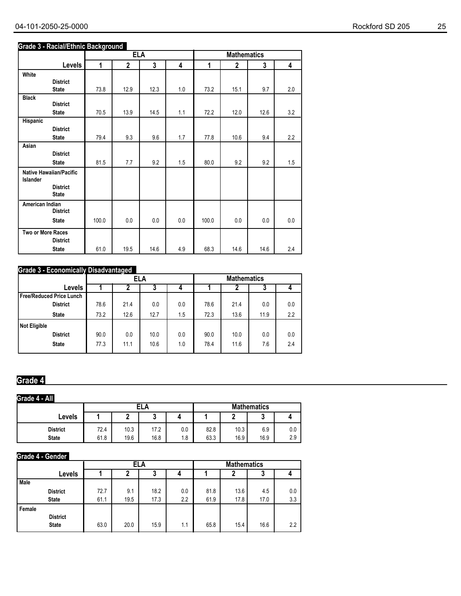#### **Grade 3 - Racial/Ethnic Background**

|                                     |                                 |       | <b>ELA</b>     |      |     | <b>Mathematics</b> |              |      |     |  |
|-------------------------------------|---------------------------------|-------|----------------|------|-----|--------------------|--------------|------|-----|--|
|                                     | Levels                          | 1     | $\overline{2}$ | 3    | 4   | 1                  | $\mathbf{2}$ | 3    | 4   |  |
| White                               |                                 |       |                |      |     |                    |              |      |     |  |
|                                     | <b>District</b>                 |       |                |      |     |                    |              |      |     |  |
|                                     | <b>State</b>                    | 73.8  | 12.9           | 12.3 | 1.0 | 73.2               | 15.1         | 9.7  | 2.0 |  |
| <b>Black</b>                        | <b>District</b>                 |       |                |      |     |                    |              |      |     |  |
|                                     | <b>State</b>                    | 70.5  | 13.9           | 14.5 | 1.1 | 72.2               | 12.0         | 12.6 | 3.2 |  |
| Hispanic                            |                                 |       |                |      |     |                    |              |      |     |  |
|                                     | <b>District</b>                 |       |                |      |     |                    |              |      |     |  |
|                                     | <b>State</b>                    | 79.4  | 9.3            | 9.6  | 1.7 | 77.8               | 10.6         | 9.4  | 2.2 |  |
| Asian                               |                                 |       |                |      |     |                    |              |      |     |  |
|                                     | <b>District</b>                 |       |                |      |     |                    |              |      |     |  |
|                                     | <b>State</b>                    | 81.5  | 7.7            | 9.2  | 1.5 | 80.0               | 9.2          | 9.2  | 1.5 |  |
| Native Hawaiian/Pacific<br>Islander |                                 |       |                |      |     |                    |              |      |     |  |
|                                     | <b>District</b><br><b>State</b> |       |                |      |     |                    |              |      |     |  |
| American Indian                     | <b>District</b>                 |       |                |      |     |                    |              |      |     |  |
|                                     | <b>State</b>                    | 100.0 | 0.0            | 0.0  | 0.0 | 100.0              | 0.0          | 0.0  | 0.0 |  |
| Two or More Races                   | <b>District</b>                 |       |                |      |     |                    |              |      |     |  |
|                                     | <b>State</b>                    | 61.0  | 19.5           | 14.6 | 4.9 | 68.3               | 14.6         | 14.6 | 2.4 |  |

## **Grade 3 - Economically Disadvantaged**

| 0.0 |
|-----|
| 2.2 |
|     |
| 0.0 |
| 2.4 |
|     |

## **Grade 4**

#### **Levels District State Grade 4 - All 1 2 3 4 ELA Mathematics 1 2 3 4** 72.4 10.3 17.2 0.0 82.8 10.3 6.9 0.0 61.8 19.6 16.8 1.8 63.3 16.9 16.9 2.9

#### **Grade 4 - Gender**

|        |                 | ELA  |      |      |     | <b>Mathematics</b> |      |      |     |
|--------|-----------------|------|------|------|-----|--------------------|------|------|-----|
|        | Levels          |      |      | 3    |     |                    |      |      |     |
| Male   |                 |      |      |      |     |                    |      |      |     |
|        | <b>District</b> | 72.7 | 9.1  | 18.2 | 0.0 | 81.8               | 13.6 | 4.5  | 0.0 |
|        | <b>State</b>    | 61.1 | 19.5 | 17.3 | 2.2 | 61.9               | 17.8 | 17.0 | 3.3 |
| Female |                 |      |      |      |     |                    |      |      |     |
|        | <b>District</b> |      |      |      |     |                    |      |      |     |
|        | <b>State</b>    | 63.0 | 20.0 | 15.9 | 1.1 | 65.8               | 15.4 | 16.6 | 2.2 |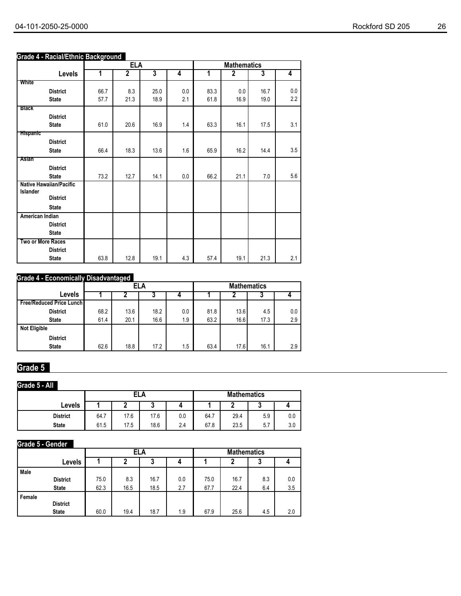#### 04-101-2050-25-0000 Rockford SD 205 26

## **Grade 4 - Racial/Ethnic Background**

|                                    |      | <b>ELA</b>     |                         |     | <b>Mathematics</b> |             |      |     |  |
|------------------------------------|------|----------------|-------------------------|-----|--------------------|-------------|------|-----|--|
| Levels                             | 1    | $\overline{2}$ | $\overline{\mathbf{3}}$ | 4   | 1                  | $\mathbf 2$ | 3    | 4   |  |
| White                              |      |                |                         |     |                    |             |      |     |  |
| <b>District</b>                    | 66.7 | 8.3            | 25.0                    | 0.0 | 83.3               | 0.0         | 16.7 | 0.0 |  |
| <b>State</b>                       | 57.7 | 21.3           | 18.9                    | 2.1 | 61.8               | 16.9        | 19.0 | 2.2 |  |
| <b>Black</b>                       |      |                |                         |     |                    |             |      |     |  |
| <b>District</b>                    |      |                |                         |     |                    |             |      |     |  |
| <b>State</b>                       | 61.0 | 20.6           | 16.9                    | 1.4 | 63.3               | 16.1        | 17.5 | 3.1 |  |
| <b>Hispanic</b>                    |      |                |                         |     |                    |             |      |     |  |
| <b>District</b>                    |      |                |                         |     |                    |             |      |     |  |
| <b>State</b>                       | 66.4 | 18.3           | 13.6                    | 1.6 | 65.9               | 16.2        | 14.4 | 3.5 |  |
| Asian                              |      |                |                         |     |                    |             |      |     |  |
| <b>District</b>                    |      |                |                         |     |                    |             |      |     |  |
| <b>State</b>                       | 73.2 | 12.7           | 14.1                    | 0.0 | 66.2               | 21.1        | 7.0  | 5.6 |  |
| <b>Native Hawaiian/Pacific</b>     |      |                |                         |     |                    |             |      |     |  |
| <b>Islander</b><br><b>District</b> |      |                |                         |     |                    |             |      |     |  |
|                                    |      |                |                         |     |                    |             |      |     |  |
| <b>State</b>                       |      |                |                         |     |                    |             |      |     |  |
| American Indian                    |      |                |                         |     |                    |             |      |     |  |
| <b>District</b>                    |      |                |                         |     |                    |             |      |     |  |
| <b>State</b>                       |      |                |                         |     |                    |             |      |     |  |
| <b>Two or More Races</b>           |      |                |                         |     |                    |             |      |     |  |
| <b>District</b>                    |      |                |                         |     |                    |             |      |     |  |
| <b>State</b>                       | 63.8 | 12.8           | 19.1                    | 4.3 | 57.4               | 19.1        | 21.3 | 2.1 |  |

## **Grade 4 - Economically Disadvantaged**

|                                 |      | <b>ELA</b> |      |     |      | <b>Mathematics</b> |      |     |  |
|---------------------------------|------|------------|------|-----|------|--------------------|------|-----|--|
| Levels                          |      |            | ν    |     |      |                    |      |     |  |
| <b>Free/Reduced Price Lunch</b> |      |            |      |     |      |                    |      |     |  |
| <b>District</b>                 | 68.2 | 13.6       | 18.2 | 0.0 | 81.8 | 13.6               | 4.5  | 0.0 |  |
| <b>State</b>                    | 61.4 | 20.1       | 16.6 | 1.9 | 63.2 | 16.6               | 17.3 | 2.9 |  |
| <b>Not Eligible</b>             |      |            |      |     |      |                    |      |     |  |
| <b>District</b>                 |      |            |      |     |      |                    |      |     |  |
| <b>State</b>                    | 62.6 | 18.8       | 17.2 | 1.5 | 63.4 | 17.6               | 16.1 | 2.9 |  |

# **Grade 5**

## **Grade 5 - All**

|                 |      |      | ELA  |     | <b>Mathematics</b> |      |     |     |
|-----------------|------|------|------|-----|--------------------|------|-----|-----|
| Levels          |      |      | u    |     |                    |      |     |     |
| <b>District</b> | 64.7 | 17.6 | 17.6 | 0.0 | 64.7<br>–          | 29.4 | 5.9 | 0.0 |
| <b>State</b>    | 61.5 | 17.5 | 18.6 | 2.4 | 67.8               | 23.5 | 5.7 | 3.0 |

## **Grade 5 - Gender**

|        |                 |      |      | ELA  |     | <b>Mathematics</b> |      |     |     |  |
|--------|-----------------|------|------|------|-----|--------------------|------|-----|-----|--|
|        | Levels          |      | 2    | 3    |     |                    | 7    | J   |     |  |
| Male   |                 |      |      |      |     |                    |      |     |     |  |
|        | <b>District</b> | 75.0 | 8.3  | 16.7 | 0.0 | 75.0               | 16.7 | 8.3 | 0.0 |  |
|        | <b>State</b>    | 62.3 | 16.5 | 18.5 | 2.7 | 67.7               | 22.4 | 6.4 | 3.5 |  |
| Female |                 |      |      |      |     |                    |      |     |     |  |
|        | <b>District</b> |      |      |      |     |                    |      |     |     |  |
|        | <b>State</b>    | 60.0 | 19.4 | 18.7 | 1.9 | 67.9               | 25.6 | 4.5 | 2.0 |  |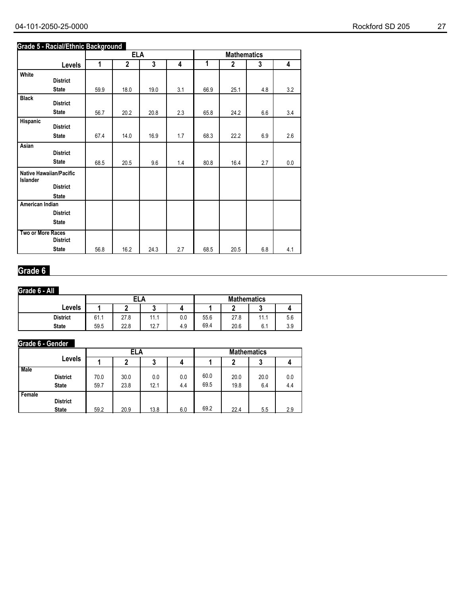#### 04-101-2050-25-0000 27

#### **Grade 5 - Racial/Ethnic Background**

|                   |                         |      | <b>ELA</b>   |             |     |      | <b>Mathematics</b> |     |     |
|-------------------|-------------------------|------|--------------|-------------|-----|------|--------------------|-----|-----|
|                   | Levels                  | 1    | $\mathbf{2}$ | $\mathbf 3$ | 4   | 1    | $\mathbf 2$        | 3   | 4   |
| White             |                         |      |              |             |     |      |                    |     |     |
|                   | <b>District</b>         |      |              |             |     |      |                    |     |     |
|                   | <b>State</b>            | 59.9 | 18.0         | 19.0        | 3.1 | 66.9 | 25.1               | 4.8 | 3.2 |
| <b>Black</b>      | <b>District</b>         |      |              |             |     |      |                    |     |     |
|                   | <b>State</b>            | 56.7 | 20.2         | 20.8        | 2.3 | 65.8 | 24.2               | 6.6 | 3.4 |
| Hispanic          | <b>District</b>         |      |              |             |     |      |                    |     |     |
|                   | <b>State</b>            | 67.4 | 14.0         | 16.9        | 1.7 | 68.3 | 22.2               | 6.9 | 2.6 |
| Asian             | <b>District</b>         |      |              |             |     |      |                    |     |     |
|                   |                         |      |              |             |     |      |                    |     |     |
|                   | <b>State</b>            | 68.5 | 20.5         | 9.6         | 1.4 | 80.8 | 16.4               | 2.7 | 0.0 |
| Islander          | Native Hawaiian/Pacific |      |              |             |     |      |                    |     |     |
|                   | <b>District</b>         |      |              |             |     |      |                    |     |     |
|                   | <b>State</b>            |      |              |             |     |      |                    |     |     |
| American Indian   |                         |      |              |             |     |      |                    |     |     |
|                   | <b>District</b>         |      |              |             |     |      |                    |     |     |
|                   | <b>State</b>            |      |              |             |     |      |                    |     |     |
| Two or More Races |                         |      |              |             |     |      |                    |     |     |
|                   | <b>District</b>         |      |              |             |     |      |                    |     |     |
|                   | <b>State</b>            | 56.8 | 16.2         | 24.3        | 2.7 | 68.5 | 20.5               | 6.8 | 4.1 |

## **Grade 6**

## **Grade 6 - All**

|                 |      | ELA  |      |     |      | <b>Mathematics</b> |      |     |  |
|-----------------|------|------|------|-----|------|--------------------|------|-----|--|
| Levels          |      |      | u    |     |      | c                  | v    |     |  |
| <b>District</b> | 61.1 | 27.8 | 11.1 | 0.0 | 55.6 | 27.8               | 11.1 | 5.6 |  |
| <b>State</b>    | 59.5 | 22.8 | 12.7 | 4.9 | 69.4 | 20.6               | 6.1  | 3.9 |  |

## **Grade 6 - Gender**

|             |                                 | ELA          |              |             |            | <b>Mathematics</b> |              |             |            |
|-------------|---------------------------------|--------------|--------------|-------------|------------|--------------------|--------------|-------------|------------|
|             | Levels                          |              |              | ა           |            |                    |              | J           |            |
| <b>Male</b> | <b>District</b><br><b>State</b> | 70.0<br>59.7 | 30.0<br>23.8 | 0.0<br>12.1 | 0.0<br>4.4 | 60.0<br>69.5       | 20.0<br>19.8 | 20.0<br>6.4 | 0.0<br>4.4 |
| Female      | <b>District</b><br><b>State</b> | 59.2         | 20.9         | 13.8        | 6.0        | 69.2               | 22.4         | 5.5         | 2.9        |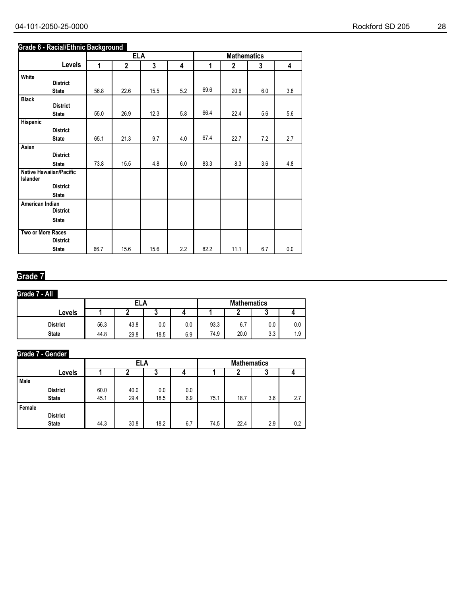#### **Grade 6 - Racial/Ethnic Background**

|                   |                         |      | <b>ELA</b>  |      |     |      | <b>Mathematics</b> |     |         |
|-------------------|-------------------------|------|-------------|------|-----|------|--------------------|-----|---------|
|                   | Levels                  | 1    | $\mathbf 2$ | 3    | 4   | 1    | $\mathbf 2$        | 3   | 4       |
| White             |                         |      |             |      |     |      |                    |     |         |
|                   | <b>District</b>         |      |             |      |     |      |                    |     |         |
|                   | <b>State</b>            | 56.8 | 22.6        | 15.5 | 5.2 | 69.6 | 20.6               | 6.0 | 3.8     |
| <b>Black</b>      |                         |      |             |      |     |      |                    |     |         |
|                   | <b>District</b>         |      |             |      |     | 66.4 |                    |     |         |
|                   | <b>State</b>            | 55.0 | 26.9        | 12.3 | 5.8 |      | 22.4               | 5.6 | 5.6     |
| Hispanic          |                         |      |             |      |     |      |                    |     |         |
|                   | <b>District</b>         |      | 21.3        | 9.7  | 4.0 | 67.4 | 22.7               |     | 2.7     |
|                   | <b>State</b>            | 65.1 |             |      |     |      |                    | 7.2 |         |
| Asian             | <b>District</b>         |      |             |      |     |      |                    |     |         |
|                   |                         |      |             |      |     |      |                    |     |         |
|                   | <b>State</b>            | 73.8 | 15.5        | 4.8  | 6.0 | 83.3 | 8.3                | 3.6 | 4.8     |
| Islander          | Native Hawaiian/Pacific |      |             |      |     |      |                    |     |         |
|                   | <b>District</b>         |      |             |      |     |      |                    |     |         |
|                   | <b>State</b>            |      |             |      |     |      |                    |     |         |
| American Indian   |                         |      |             |      |     |      |                    |     |         |
|                   | <b>District</b>         |      |             |      |     |      |                    |     |         |
|                   | <b>State</b>            |      |             |      |     |      |                    |     |         |
| Two or More Races |                         |      |             |      |     |      |                    |     |         |
|                   | <b>District</b>         |      |             |      |     |      |                    |     |         |
|                   | <b>State</b>            | 66.7 | 15.6        | 15.6 | 2.2 | 82.2 | 11.1               | 6.7 | $0.0\,$ |

## **Grade 7**

## **Grade 7 - All**

|                 |      | ELA  |      |     |      | <b>Mathematics</b> |     |     |  |  |
|-----------------|------|------|------|-----|------|--------------------|-----|-----|--|--|
| Levels          |      | u    |      |     |      |                    | u   |     |  |  |
| <b>District</b> | 56.3 | 43.8 | 0.0  | 0.0 | 93.3 | 6.7                | 0.0 | 0.0 |  |  |
| <b>State</b>    | 44.8 | 29.8 | 18.5 | 6.9 | 74.9 | 20.0               | 3.3 | 1.9 |  |  |

## **Grade 7 - Gender**

|             |                 |      | ELA  |      |     | <b>Mathematics</b> |      |     |     |
|-------------|-----------------|------|------|------|-----|--------------------|------|-----|-----|
|             | Levels          |      | n    | J.   |     |                    |      | u   |     |
| <b>Male</b> |                 |      |      |      |     |                    |      |     |     |
|             | <b>District</b> | 60.0 | 40.0 | 0.0  | 0.0 |                    |      |     |     |
|             | <b>State</b>    | 45.1 | 29.4 | 18.5 | 6.9 | 75.1               | 18.7 | 3.6 | 2.7 |
| Female      |                 |      |      |      |     |                    |      |     |     |
|             | <b>District</b> |      |      |      |     |                    |      |     |     |
|             | <b>State</b>    | 44.3 | 30.8 | 18.2 | 6.7 | 74.5               | 22.4 | 2.9 | 0.2 |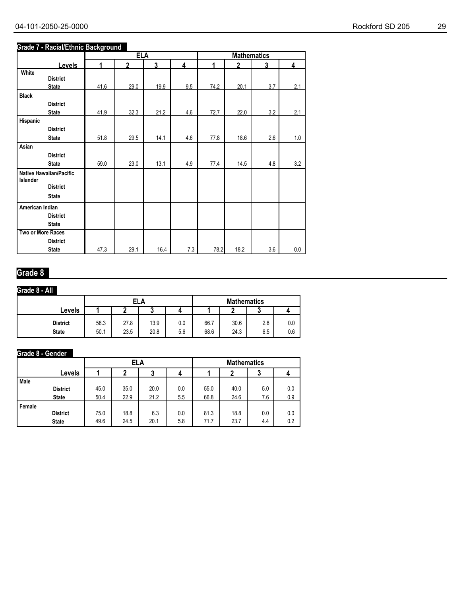#### **Grade 7 - Racial/Ethnic Background**

|                          |                         |      | <b>ELA</b>   |      |     |      | <b>Mathematics</b> |     |     |
|--------------------------|-------------------------|------|--------------|------|-----|------|--------------------|-----|-----|
|                          | <b>Levels</b>           | 1    | $\mathbf{v}$ | 3    | 4   | 4    | $\mathbf{v}$       | 3   | 4   |
| White                    |                         |      |              |      |     |      |                    |     |     |
|                          | <b>District</b>         |      |              |      |     |      |                    |     |     |
|                          | <b>State</b>            | 41.6 | 29.0         | 19.9 | 9.5 | 74.2 | 20.1               | 3.7 | 2.1 |
| <b>Black</b>             |                         |      |              |      |     |      |                    |     |     |
|                          | <b>District</b>         |      |              |      |     |      |                    |     |     |
|                          | <b>State</b>            | 41.9 | 32.3         | 21.2 | 4.6 | 72.7 | 22.0               | 3.2 | 2.1 |
| Hispanic                 |                         |      |              |      |     |      |                    |     |     |
|                          | <b>District</b>         |      |              |      |     |      |                    |     |     |
|                          | <b>State</b>            | 51.8 | 29.5         | 14.1 | 4.6 | 77.8 | 18.6               | 2.6 | 1.0 |
| Asian                    |                         |      |              |      |     |      |                    |     |     |
|                          | <b>District</b>         |      |              |      |     |      |                    |     |     |
|                          | <b>State</b>            | 59.0 | 23.0         | 13.1 | 4.9 | 77.4 | 14.5               | 4.8 | 3.2 |
|                          | Native Hawaiian/Pacific |      |              |      |     |      |                    |     |     |
| Islander                 |                         |      |              |      |     |      |                    |     |     |
|                          | <b>District</b>         |      |              |      |     |      |                    |     |     |
|                          | <b>State</b>            |      |              |      |     |      |                    |     |     |
| American Indian          |                         |      |              |      |     |      |                    |     |     |
|                          | <b>District</b>         |      |              |      |     |      |                    |     |     |
|                          | <b>State</b>            |      |              |      |     |      |                    |     |     |
| <b>Two or More Races</b> |                         |      |              |      |     |      |                    |     |     |
|                          | <b>District</b>         |      |              |      |     |      |                    |     |     |
|                          | <b>State</b>            | 47.3 | 29.1         | 16.4 | 7.3 | 78.2 | 18.2               | 3.6 | 0.0 |

## **Grade 8**

## **Grade 8 - All**

|                                 |              | ELA          |              |                |              | <b>Mathematics</b> |            |            |  |
|---------------------------------|--------------|--------------|--------------|----------------|--------------|--------------------|------------|------------|--|
| Levels                          |              | ı            | w            |                |              |                    |            |            |  |
| <b>District</b><br><b>State</b> | 58.3<br>50.1 | 27.8<br>23.5 | 13.9<br>20.8 | $0.0\,$<br>5.6 | 66.7<br>68.6 | 30.6<br>24.3       | 2.8<br>6.5 | 0.0<br>0.6 |  |

## **Grade 8 - Gender**

|        |                 |      | ELA  |      |     | <b>Mathematics</b> |      |     |     |
|--------|-----------------|------|------|------|-----|--------------------|------|-----|-----|
|        | Levels          |      |      |      |     |                    |      | J   |     |
| Male   |                 |      |      |      |     |                    |      |     |     |
|        | <b>District</b> | 45.0 | 35.0 | 20.0 | 0.0 | 55.0               | 40.0 | 5.0 | 0.0 |
|        | <b>State</b>    | 50.4 | 22.9 | 21.2 | 5.5 | 66.8               | 24.6 | 7.6 | 0.9 |
| Female |                 |      |      |      |     |                    |      |     |     |
|        | <b>District</b> | 75.0 | 18.8 | 6.3  | 0.0 | 81.3               | 18.8 | 0.0 | 0.0 |
|        | <b>State</b>    | 49.6 | 24.5 | 20.1 | 5.8 | 71.7               | 23.7 | 4.4 | 0.2 |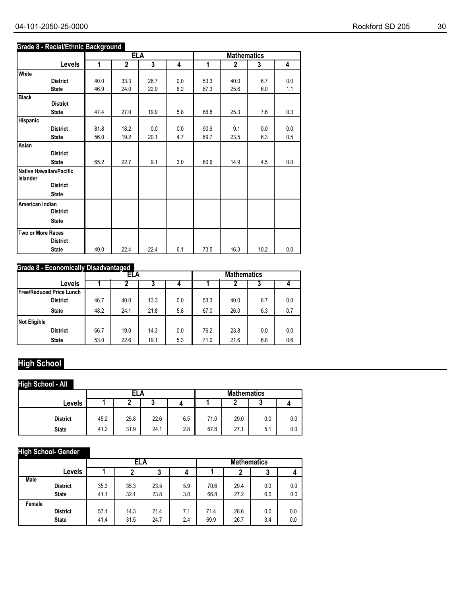## **Grade 8 - Racial/Ethnic Background**

|                                            |      | <b>ELA</b>     |      |     |      | <b>Mathematics</b> |      |         |
|--------------------------------------------|------|----------------|------|-----|------|--------------------|------|---------|
| Levels                                     | 1    | $\overline{2}$ | 3    | 4   | 1    | $\overline{2}$     | 3    | 4       |
| White                                      |      |                |      |     |      |                    |      |         |
| <b>District</b>                            | 40.0 | 33.3           | 26.7 | 0.0 | 53.3 | 40.0               | 6.7  | 0.0     |
| <b>State</b>                               | 46.9 | 24.0           | 22.9 | 6.2 | 67.3 | 25.6               | 6.0  | 1.1     |
| <b>Black</b>                               |      |                |      |     |      |                    |      |         |
| <b>District</b>                            |      |                |      |     |      |                    |      |         |
| <b>State</b>                               | 47.4 | 27.0           | 19.9 | 5.8 | 66.8 | 25.3               | 7.6  | 0.3     |
| <b>Hispanic</b>                            |      |                |      |     |      |                    |      |         |
| <b>District</b>                            | 81.8 | 18.2           | 0.0  | 0.0 | 90.9 | 9.1                | 0.0  | 0.0     |
| <b>State</b>                               | 56.0 | 19.2           | 20.1 | 4.7 | 69.7 | 23.5               | 6.3  | 0.5     |
| Asian                                      |      |                |      |     |      |                    |      |         |
| <b>District</b>                            |      |                |      |     |      |                    |      |         |
| <b>State</b>                               | 65.2 | 22.7           | 9.1  | 3.0 | 80.6 | 14.9               | 4.5  | $0.0\,$ |
| <b>Native Hawaiian/Pacific</b><br>Islander |      |                |      |     |      |                    |      |         |
| <b>District</b>                            |      |                |      |     |      |                    |      |         |
| <b>State</b>                               |      |                |      |     |      |                    |      |         |
| American Indian<br><b>District</b>         |      |                |      |     |      |                    |      |         |
| <b>State</b>                               |      |                |      |     |      |                    |      |         |
| Two or More Races<br><b>District</b>       |      |                |      |     |      |                    |      |         |
| <b>State</b>                               | 49.0 | 22.4           | 22.4 | 6.1 | 73.5 | 16.3               | 10.2 | 0.0     |

## **Grade 8 - Economically Disadvantaged**

|                            |      | ELA  |      |     | <b>Mathematics</b> |      |     |     |
|----------------------------|------|------|------|-----|--------------------|------|-----|-----|
| Levels                     |      |      | J    | 4   |                    | ▴    | J   |     |
| l Free/Reduced Price Lunch |      |      |      |     |                    |      |     |     |
| <b>District</b>            | 46.7 | 40.0 | 13.3 | 0.0 | 53.3               | 40.0 | 6.7 | 0.0 |
| <b>State</b>               | 48.2 | 24.1 | 21.8 | 5.8 | 67.0               | 26.0 | 6.3 | 0.7 |
| Not Eligible               |      |      |      |     |                    |      |     |     |
| <b>District</b>            | 66.7 | 19.0 | 14.3 | 0.0 | 76.2               | 23.8 | 0.0 | 0.0 |
| <b>State</b>               | 53.0 | 22.6 | 19.1 | 5.3 | 71.0               | 21.6 | 6.8 | 0.6 |

# **High School**

## **High School - All**

|                 |      | ELA  |      |     |      | <b>Mathematics</b> |        |     |  |
|-----------------|------|------|------|-----|------|--------------------|--------|-----|--|
| Levels          |      |      |      |     |      |                    | n<br>w |     |  |
|                 |      |      |      |     |      |                    |        |     |  |
| <b>District</b> | 45.2 | 25.8 | 22.6 | 6.5 | 71.0 | 29.0               | 0.0    | 0.0 |  |
| <b>State</b>    | 41.2 | 31.9 | 24.1 | 2.8 | 67.8 | 27.1               | 5.1    | 0.0 |  |

## **High School- Gender**

|             |                 |      | ELA  |        |     | <b>Mathematics</b> |      |     |     |
|-------------|-----------------|------|------|--------|-----|--------------------|------|-----|-----|
|             | Levels          |      |      | ◠<br>J | 4   |                    |      | ა   | 4   |
| <b>Male</b> | <b>District</b> | 35.3 | 35.3 | 23.5   | 5.9 | 70.6               | 29.4 | 0.0 | 0.0 |
|             | <b>State</b>    | 41.1 | 32.1 | 23.8   | 3.0 | 66.8               | 27.2 | 6.0 | 0.0 |
| Female      | <b>District</b> | 57.1 | 14.3 | 21.4   | 7.1 | 71.4               | 28.6 | 0.0 | 0.0 |
|             | <b>State</b>    | 41.4 | 31.5 | 24.7   | 2.4 | 69.9               | 26.7 | 3.4 | 0.0 |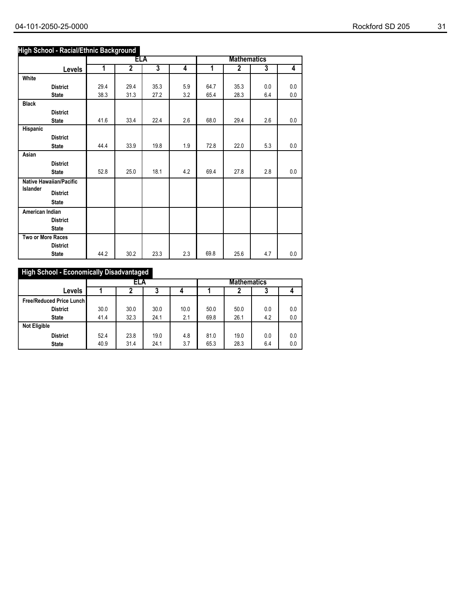#### **High School - Racial/Ethnic Background**

|                   |                         |                | ELA            |                         |                |      | <b>Mathematics</b> |                         |                |
|-------------------|-------------------------|----------------|----------------|-------------------------|----------------|------|--------------------|-------------------------|----------------|
|                   | Levels                  | $\overline{1}$ | $\overline{2}$ | $\overline{\mathbf{3}}$ | $\overline{4}$ | 1    | $\overline{2}$     | $\overline{\mathbf{3}}$ | $\overline{4}$ |
| White             |                         |                |                |                         |                |      |                    |                         |                |
|                   | <b>District</b>         | 29.4           | 29.4           | 35.3                    | 5.9            | 64.7 | 35.3               | 0.0                     | 0.0            |
|                   | <b>State</b>            | 38.3           | 31.3           | 27.2                    | 3.2            | 65.4 | 28.3               | 6.4                     | 0.0            |
| <b>Black</b>      |                         |                |                |                         |                |      |                    |                         |                |
|                   | <b>District</b>         |                |                |                         |                |      |                    |                         |                |
|                   | <b>State</b>            | 41.6           | 33.4           | 22.4                    | 2.6            | 68.0 | 29.4               | 2.6                     | 0.0            |
| Hispanic          |                         |                |                |                         |                |      |                    |                         |                |
|                   | <b>District</b>         |                |                |                         |                |      |                    |                         |                |
|                   | <b>State</b>            | 44.4           | 33.9           | 19.8                    | 1.9            | 72.8 | 22.0               | 5.3                     | 0.0            |
| Asian             |                         |                |                |                         |                |      |                    |                         |                |
|                   | <b>District</b>         | 52.8           | 25.0           | 18.1                    | 4.2            | 69.4 | 27.8               | 2.8                     | 0.0            |
|                   | <b>State</b>            |                |                |                         |                |      |                    |                         |                |
| <b>Islander</b>   | Native Hawaiian/Pacific |                |                |                         |                |      |                    |                         |                |
|                   | <b>District</b>         |                |                |                         |                |      |                    |                         |                |
|                   | <b>State</b>            |                |                |                         |                |      |                    |                         |                |
| American Indian   |                         |                |                |                         |                |      |                    |                         |                |
|                   | <b>District</b>         |                |                |                         |                |      |                    |                         |                |
|                   | <b>State</b>            |                |                |                         |                |      |                    |                         |                |
| Two or More Races |                         |                |                |                         |                |      |                    |                         |                |
|                   | <b>District</b>         |                |                |                         |                |      |                    |                         |                |
|                   | <b>State</b>            | 44.2           | 30.2           | 23.3                    | 2.3            | 69.8 | 25.6               | 4.7                     | 0.0            |

## **High School - Economically Disadvantaged**

|                                 |      | ELA  |      |      | <b>Mathematics</b> |      |     |     |
|---------------------------------|------|------|------|------|--------------------|------|-----|-----|
| <b>Levels</b>                   |      |      | 3    |      |                    |      | J   |     |
| <b>Free/Reduced Price Lunch</b> |      |      |      |      |                    |      |     |     |
| <b>District</b>                 | 30.0 | 30.0 | 30.0 | 10.0 | 50.0               | 50.0 | 0.0 | 0.0 |
| <b>State</b>                    | 41.4 | 32.3 | 24.1 | 2.1  | 69.8               | 26.1 | 4.2 | 0.0 |
| <b>Not Eligible</b>             |      |      |      |      |                    |      |     |     |
| <b>District</b>                 | 52.4 | 23.8 | 19.0 | 4.8  | 81.0               | 19.0 | 0.0 | 0.0 |
| <b>State</b>                    | 40.9 | 31.4 | 24.1 | 3.7  | 65.3               | 28.3 | 6.4 | 0.0 |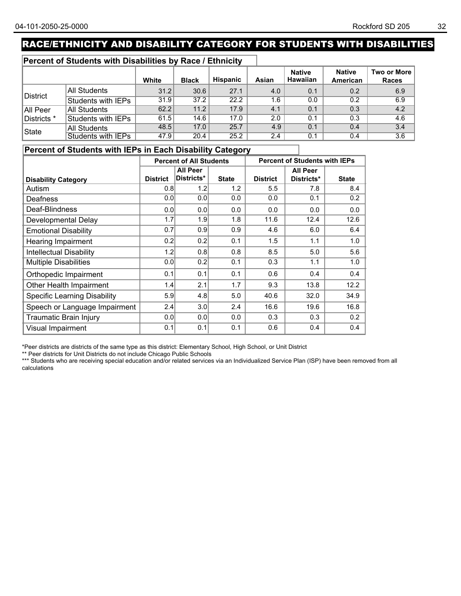# RACE/ETHNICITY AND DISABILITY CATEGORY FOR STUDENTS WITH DISABILITIES

#### **Percent of Students with Disabilities by Race / Ethnicity**

|             |                           | White | <b>Black</b> | <b>Hispanic</b> | Asian | <b>Native</b><br><b>Hawaiian</b> | <b>Native</b><br>American | Two or More  <br><b>Races</b> |
|-------------|---------------------------|-------|--------------|-----------------|-------|----------------------------------|---------------------------|-------------------------------|
|             | All Students              | 31.2  | 30.6         | 27.1            | 4.0   | 0.1                              | 0.2                       | 6.9                           |
| District    | Students with IEPs        | 31.9  | 37.2         | 22.2            | 1.6   | 0.0                              | 0.2                       | 6.9                           |
| All Peer    | <b>All Students</b>       | 62.2  | 11.2         | 17.9            | 4.1   | 0.1                              | 0.3                       | 4.2                           |
| Districts * | Students with IEPs        | 61.5  | 14.6         | 17.0            | 2.0   | 0.1                              | 0.3                       | 4.6                           |
| State       | All Students              | 48.5  | 17.0         | 25.7            | 4.9   | 0.1                              | 0.4                       | 3.4                           |
|             | <b>Students with IEPs</b> | 47.9  | 20.4         | 25.2            | 2.4   | 0.1                              | 0.4                       | 3.6                           |

## **Percent of Students with IEPs in Each Disability Category**

|                                     | <b>Percent of All Students</b> |                 |              |                 | <b>Percent of Students with IEPs</b> |              |
|-------------------------------------|--------------------------------|-----------------|--------------|-----------------|--------------------------------------|--------------|
|                                     |                                | <b>All Peer</b> |              |                 | <b>All Peer</b>                      |              |
| <b>Disability Category</b>          | <b>District</b>                | Districts*      | <b>State</b> | <b>District</b> | Districts*                           | <b>State</b> |
| Autism                              | 0.8                            | 1.2             | 1.2          | 5.5             | 7.8                                  | 8.4          |
| Deafness                            | 0.0                            | 0.0             | 0.0          | 0.0             | 0.1                                  | 0.2          |
| Deaf-Blindness                      | 0.0                            | 0.0             | 0.0          | 0.0             | 0.0                                  | 0.0          |
| Developmental Delay                 | 1.7                            | 1.9             | 1.8          | 11.6            | 12.4                                 | 12.6         |
| <b>Emotional Disability</b>         | 0.7                            | 0.9             | 0.9          | 4.6             | 6.0                                  | 6.4          |
| <b>Hearing Impairment</b>           | 0.2                            | 0.2             | 0.1          | 1.5             | 1.1                                  | 1.0          |
| <b>Intellectual Disability</b>      | 1.2                            | 0.8             | 0.8          | 8.5             | 5.0                                  | 5.6          |
| <b>Multiple Disabilities</b>        | 0.0                            | 0.2             | 0.1          | 0.3             | 1.1                                  | 1.0          |
| Orthopedic Impairment               | 0.1                            | 0.1             | 0.1          | 0.6             | 0.4                                  | 0.4          |
| Other Health Impairment             | 1.4                            | 2.1             | 1.7          | 9.3             | 13.8                                 | 12.2         |
| <b>Specific Learning Disability</b> | 5.9                            | 4.8             | 5.0          | 40.6            | 32.0                                 | 34.9         |
| Speech or Language Impairment       | 2.4                            | 3.0             | 2.4          | 16.6            | 19.6                                 | 16.8         |
| <b>Traumatic Brain Injury</b>       | 0.0                            | 0.0             | 0.0          | 0.3             | 0.3                                  | 0.2          |
| Visual Impairment                   | 0.1                            | 0.1             | 0.1          | 0.6             | 0.4                                  | 0.4          |

\*Peer districts are districts of the same type as this district: Elementary School, High School, or Unit District

\*\* Peer districts for Unit Districts do not include Chicago Public Schools

\*\*\* Students who are receiving special education and/or related services via an Individualized Service Plan (ISP) have been removed from all<br>\*\*\* Students who are receiving special education and/or related services via an I calculations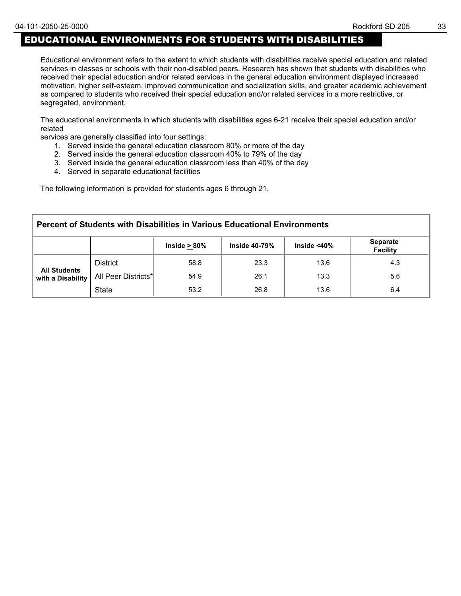## EDUCATIONAL ENVIRONMENTS FOR STUDENTS WITH DISABILITIES

Educational environment refers to the extent to which students with disabilities receive special education and related services in classes or schools with their non-disabled peers. Research has shown that students with disabilities who received their special education and/or related services in the general education environment displayed increased motivation, higher self-esteem, improved communication and socialization skills, and greater academic achievement as compared to students who received their special education and/or related services in a more restrictive, or segregated, environment.

The educational environments in which students with disabilities ages 6-21 receive their special education and/or related

services are generally classified into four settings:

- 1. Served inside the general education classroom 80% or more of the day
- 2. Served inside the general education classroom 40% to 79% of the day
- 3. Served inside the general education classroom less than 40% of the day
- 4. Served in separate educational facilities

The following information is provided for students ages 6 through 21.

| Percent of Students with Disabilities in Various Educational Environments                           |                                                                           |      |      |      |     |  |  |  |  |  |
|-----------------------------------------------------------------------------------------------------|---------------------------------------------------------------------------|------|------|------|-----|--|--|--|--|--|
| <b>Separate</b><br>Inside $<$ 40 $\%$<br><b>Inside 40-79%</b><br>Inside $> 80\%$<br><b>Facility</b> |                                                                           |      |      |      |     |  |  |  |  |  |
|                                                                                                     | <b>District</b>                                                           | 58.8 | 23.3 | 13.6 | 4.3 |  |  |  |  |  |
| with a Disability                                                                                   | <b>All Students</b><br>All Peer Districts*<br>26.1<br>54.9<br>13.3<br>5.6 |      |      |      |     |  |  |  |  |  |
| <b>State</b><br>26.8<br>53.2<br>13.6<br>6.4                                                         |                                                                           |      |      |      |     |  |  |  |  |  |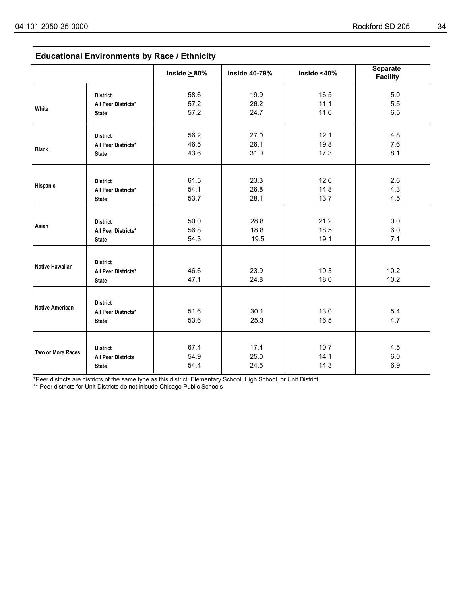|                        | <b>Educational Environments by Race / Ethnicity</b>    |                    |                      |              |                                    |  |  |  |  |  |  |
|------------------------|--------------------------------------------------------|--------------------|----------------------|--------------|------------------------------------|--|--|--|--|--|--|
|                        |                                                        | Inside $\geq 80\%$ | <b>Inside 40-79%</b> | Inside <40%  | <b>Separate</b><br><b>Facility</b> |  |  |  |  |  |  |
| White                  | <b>District</b>                                        | 58.6               | 19.9                 | 16.5         | 5.0                                |  |  |  |  |  |  |
|                        | All Peer Districts*                                    | 57.2               | 26.2                 | 11.1         | 5.5                                |  |  |  |  |  |  |
|                        | <b>State</b>                                           | 57.2               | 24.7                 | 11.6         | 6.5                                |  |  |  |  |  |  |
| <b>Black</b>           | <b>District</b>                                        | 56.2               | 27.0                 | 12.1         | 4.8                                |  |  |  |  |  |  |
|                        | All Peer Districts*                                    | 46.5               | 26.1                 | 19.8         | 7.6                                |  |  |  |  |  |  |
|                        | <b>State</b>                                           | 43.6               | 31.0                 | 17.3         | 8.1                                |  |  |  |  |  |  |
| Hispanic               | <b>District</b>                                        | 61.5               | 23.3                 | 12.6         | 2.6                                |  |  |  |  |  |  |
|                        | All Peer Districts*                                    | 54.1               | 26.8                 | 14.8         | 4.3                                |  |  |  |  |  |  |
|                        | <b>State</b>                                           | 53.7               | 28.1                 | 13.7         | 4.5                                |  |  |  |  |  |  |
| Asian                  | <b>District</b>                                        | 50.0               | 28.8                 | 21.2         | 0.0                                |  |  |  |  |  |  |
|                        | All Peer Districts*                                    | 56.8               | 18.8                 | 18.5         | 6.0                                |  |  |  |  |  |  |
|                        | <b>State</b>                                           | 54.3               | 19.5                 | 19.1         | 7.1                                |  |  |  |  |  |  |
| <b>Native Hawaiian</b> | <b>District</b><br>All Peer Districts*<br><b>State</b> | 46.6<br>47.1       | 23.9<br>24.8         | 19.3<br>18.0 | 10.2<br>10.2                       |  |  |  |  |  |  |
| <b>Native American</b> | <b>District</b><br>All Peer Districts*<br><b>State</b> | 51.6<br>53.6       | 30.1<br>25.3         | 13.0<br>16.5 | 5.4<br>4.7                         |  |  |  |  |  |  |
| Two or More Races      | <b>District</b>                                        | 67.4               | 17.4                 | 10.7         | 4.5                                |  |  |  |  |  |  |
|                        | <b>All Peer Districts</b>                              | 54.9               | 25.0                 | 14.1         | 6.0                                |  |  |  |  |  |  |
|                        | <b>State</b>                                           | 54.4               | 24.5                 | 14.3         | 6.9                                |  |  |  |  |  |  |

\*Peer districts are districts of the same type as this district: Elementary School, High School, or Unit District

\*\* Peer districts for Unit Districts do not inlcude Chicago Public Schools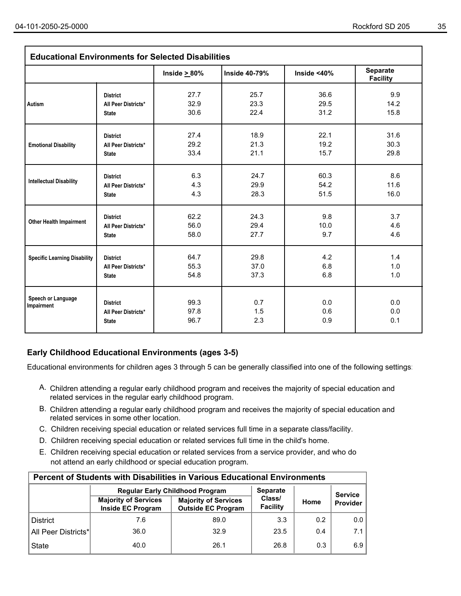| <b>Educational Environments for Selected Disabilities</b> |                                                        |                      |                      |                   |                                    |  |
|-----------------------------------------------------------|--------------------------------------------------------|----------------------|----------------------|-------------------|------------------------------------|--|
|                                                           |                                                        | Inside $\geq 80\%$   | <b>Inside 40-79%</b> | Inside $<$ 40%    | <b>Separate</b><br><b>Facility</b> |  |
| <b>Autism</b>                                             | <b>District</b>                                        | 27.7                 | 25.7                 | 36.6              | 9.9                                |  |
|                                                           | All Peer Districts*                                    | 32.9                 | 23.3                 | 29.5              | 14.2                               |  |
|                                                           | <b>State</b>                                           | 30.6                 | 22.4                 | 31.2              | 15.8                               |  |
| <b>Emotional Disability</b>                               | <b>District</b>                                        | 27.4                 | 18.9                 | 22.1              | 31.6                               |  |
|                                                           | All Peer Districts*                                    | 29.2                 | 21.3                 | 19.2              | 30.3                               |  |
|                                                           | <b>State</b>                                           | 33.4                 | 21.1                 | 15.7              | 29.8                               |  |
| <b>Intellectual Disability</b>                            | <b>District</b>                                        | 6.3                  | 24.7                 | 60.3              | 8.6                                |  |
|                                                           | All Peer Districts*                                    | 4.3                  | 29.9                 | 54.2              | 11.6                               |  |
|                                                           | <b>State</b>                                           | 4.3                  | 28.3                 | 51.5              | 16.0                               |  |
| <b>Other Health Impairment</b>                            | <b>District</b>                                        | 62.2                 | 24.3                 | 9.8               | 3.7                                |  |
|                                                           | All Peer Districts*                                    | 56.0                 | 29.4                 | 10.0              | 4.6                                |  |
|                                                           | <b>State</b>                                           | 58.0                 | 27.7                 | 9.7               | 4.6                                |  |
| <b>Specific Learning Disability</b>                       | <b>District</b>                                        | 64.7                 | 29.8                 | 4.2               | 1.4                                |  |
|                                                           | All Peer Districts*                                    | 55.3                 | 37.0                 | 6.8               | 1.0                                |  |
|                                                           | <b>State</b>                                           | 54.8                 | 37.3                 | 6.8               | 1.0                                |  |
| Speech or Language<br>Impairment                          | <b>District</b><br>All Peer Districts*<br><b>State</b> | 99.3<br>97.8<br>96.7 | 0.7<br>1.5<br>2.3    | 0.0<br>0.6<br>0.9 | 0.0<br>0.0<br>0.1                  |  |

## **Early Childhood Educational Environments (ages 3-5)**

Educational environments for children ages 3 through 5 can be generally classified into one of the following settings:

- A. Children attending a regular early childhood program and receives the majority of special education and related services in the regular early childhood program.
- B. Children attending a regular early childhood program and receives the majority of special education and related services in some other location.
- C. Children receiving special education or related services full time in a separate class/facility.
- D. Children receiving special education or related services full time in the child's home.
- E. Children receiving special education or related services from a service provider, and who do not attend an early childhood or special education program.

| <b>Percent of Students with Disabilities in Various Educational Environments</b> |                                                         |                                                          |                    |                |          |  |  |  |
|----------------------------------------------------------------------------------|---------------------------------------------------------|----------------------------------------------------------|--------------------|----------------|----------|--|--|--|
|                                                                                  | <b>Regular Early Childhood Program</b>                  | <b>Separate</b>                                          |                    | <b>Service</b> |          |  |  |  |
|                                                                                  | <b>Majority of Services</b><br><b>Inside EC Program</b> | <b>Majority of Services</b><br><b>Outside EC Program</b> | Class/<br>Facility | Home           | Provider |  |  |  |
| <b>District</b>                                                                  | 7.6                                                     | 89.0                                                     | 3.3                | 0.2            | 0.0      |  |  |  |
| All Peer Districts*                                                              | 36.0                                                    | 32.9                                                     | 23.5               | 0.4            | 7.1      |  |  |  |
| <b>State</b>                                                                     | 40.0                                                    | 26.1                                                     | 26.8               | 0.3            | 6.9      |  |  |  |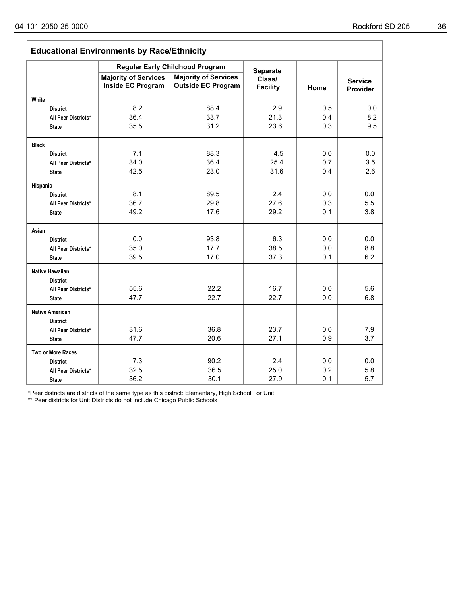| <b>Educational Environments by Race/Ethnicity</b> |                                                  |                                                          |                           |      |                            |  |  |
|---------------------------------------------------|--------------------------------------------------|----------------------------------------------------------|---------------------------|------|----------------------------|--|--|
|                                                   | <b>Regular Early Childhood Program</b>           | <b>Separate</b>                                          |                           |      |                            |  |  |
|                                                   | <b>Majority of Services</b><br>Inside EC Program | <b>Majority of Services</b><br><b>Outside EC Program</b> | Class/<br><b>Facility</b> | Home | <b>Service</b><br>Provider |  |  |
| White                                             |                                                  |                                                          |                           |      |                            |  |  |
| <b>District</b>                                   | 8.2                                              | 88.4                                                     | 2.9                       | 0.5  | 0.0                        |  |  |
| All Peer Districts*                               | 36.4                                             | 33.7                                                     | 21.3                      | 0.4  | 8.2                        |  |  |
| <b>State</b>                                      | 35.5                                             | 31.2                                                     | 23.6                      | 0.3  | 9.5                        |  |  |
| <b>Black</b>                                      |                                                  |                                                          |                           |      |                            |  |  |
| <b>District</b>                                   | 7.1                                              | 88.3                                                     | 4.5                       | 0.0  | 0.0                        |  |  |
| All Peer Districts*                               | 34.0                                             | 36.4                                                     | 25.4                      | 0.7  | 3.5                        |  |  |
| <b>State</b>                                      | 42.5                                             | 23.0                                                     | 31.6                      | 0.4  | 2.6                        |  |  |
| Hispanic                                          |                                                  |                                                          |                           |      |                            |  |  |
| <b>District</b>                                   | 8.1                                              | 89.5                                                     | 2.4                       | 0.0  | 0.0                        |  |  |
| All Peer Districts*                               | 36.7                                             | 29.8                                                     | 27.6                      | 0.3  | 5.5                        |  |  |
| <b>State</b>                                      | 49.2                                             | 17.6                                                     | 29.2                      | 0.1  | 3.8                        |  |  |
| Asian                                             |                                                  |                                                          |                           |      |                            |  |  |
| <b>District</b>                                   | 0.0                                              | 93.8                                                     | 6.3                       | 0.0  | 0.0                        |  |  |
| All Peer Districts*                               | 35.0                                             | 17.7                                                     | 38.5                      | 0.0  | 8.8                        |  |  |
| <b>State</b>                                      | 39.5                                             | 17.0                                                     | 37.3                      | 0.1  | 6.2                        |  |  |
| Native Hawaiian                                   |                                                  |                                                          |                           |      |                            |  |  |
| <b>District</b>                                   | 55.6                                             | 22.2                                                     | 16.7                      | 0.0  | 5.6                        |  |  |
| All Peer Districts*<br><b>State</b>               | 47.7                                             | 22.7                                                     | 22.7                      | 0.0  | 6.8                        |  |  |
|                                                   |                                                  |                                                          |                           |      |                            |  |  |
| <b>Native American</b>                            |                                                  |                                                          |                           |      |                            |  |  |
| <b>District</b><br>All Peer Districts*            | 31.6                                             | 36.8                                                     | 23.7                      | 0.0  | 7.9                        |  |  |
| <b>State</b>                                      | 47.7                                             | 20.6                                                     | 27.1                      | 0.9  | 3.7                        |  |  |
|                                                   |                                                  |                                                          |                           |      |                            |  |  |
| Two or More Races                                 |                                                  |                                                          |                           |      |                            |  |  |
| <b>District</b>                                   | 7.3                                              | 90.2                                                     | 2.4                       | 0.0  | 0.0                        |  |  |
| All Peer Districts*                               | 32.5                                             | 36.5                                                     | 25.0                      | 0.2  | 5.8                        |  |  |
| <b>State</b>                                      | 36.2                                             | 30.1                                                     | 27.9                      | 0.1  | 5.7                        |  |  |

\*Peer districts are districts of the same type as this district: Elementary, High School , or Unit

\*\* Peer districts for Unit Districts do not include Chicago Public Schools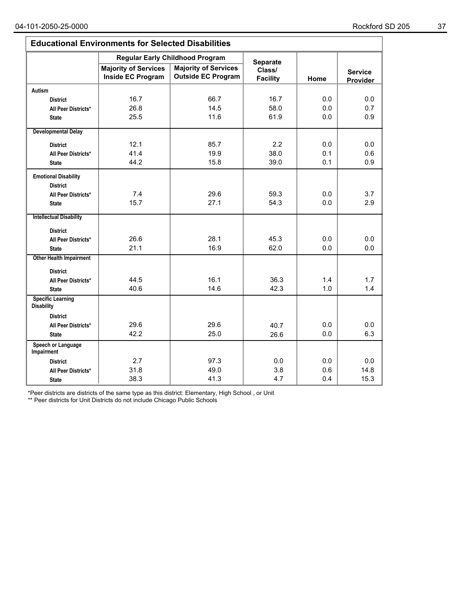| <b>Educational Environments for Selected Disabilities</b> |                                                  |                                                          |                           |      |                            |  |  |
|-----------------------------------------------------------|--------------------------------------------------|----------------------------------------------------------|---------------------------|------|----------------------------|--|--|
|                                                           | <b>Regular Early Childhood Program</b>           | Separate                                                 |                           |      |                            |  |  |
|                                                           | <b>Majority of Services</b><br>Inside EC Program | <b>Majority of Services</b><br><b>Outside EC Program</b> | Class/<br><b>Facility</b> | Home | <b>Service</b><br>Provider |  |  |
| <b>Autism</b>                                             |                                                  |                                                          |                           |      |                            |  |  |
| <b>District</b>                                           | 16.7                                             | 66.7                                                     | 16.7                      | 0.0  | 0.0                        |  |  |
| All Peer Districts*                                       | 26.8                                             | 14.5                                                     | 58.0                      | 0.0  | 0.7                        |  |  |
| <b>State</b>                                              | 25.5                                             | 11.6                                                     | 61.9                      | 0.0  | 0.9                        |  |  |
| <b>Developmental Delay</b>                                |                                                  |                                                          |                           |      |                            |  |  |
| <b>District</b>                                           | 12.1                                             | 85.7                                                     | 2.2                       | 0.0  | 0.0                        |  |  |
| All Peer Districts*                                       | 41.4                                             | 19.9                                                     | 38.0                      | 0.1  | 0.6                        |  |  |
| <b>State</b>                                              | 44.2                                             | 15.8                                                     | 39.0                      | 0.1  | 0.9                        |  |  |
| <b>Emotional Disability</b><br><b>District</b>            |                                                  |                                                          |                           |      |                            |  |  |
| All Peer Districts*                                       | 7.4                                              | 29.6                                                     | 59.3                      | 0.0  | 3.7                        |  |  |
| <b>State</b>                                              | 15.7                                             | 27.1                                                     | 54.3                      | 0.0  | 2.9                        |  |  |
| <b>Intellectual Disability</b>                            |                                                  |                                                          |                           |      |                            |  |  |
| <b>District</b>                                           |                                                  |                                                          |                           |      |                            |  |  |
| All Peer Districts*                                       | 26.6                                             | 28.1                                                     | 45.3                      | 0.0  | 0.0                        |  |  |
| <b>State</b>                                              | 21.1                                             | 16.9                                                     | 62.0                      | 0.0  | 0.0                        |  |  |
| <b>Other Health Impairment</b>                            |                                                  |                                                          |                           |      |                            |  |  |
| <b>District</b>                                           |                                                  |                                                          |                           |      |                            |  |  |
| All Peer Districts*                                       | 44.5                                             | 16.1                                                     | 36.3                      | 1.4  | 1.7                        |  |  |
| <b>State</b>                                              | 40.6                                             | 14.6                                                     | 42.3                      | 1.0  | 1.4                        |  |  |
| <b>Specific Learning</b><br><b>Disability</b>             |                                                  |                                                          |                           |      |                            |  |  |
| <b>District</b>                                           |                                                  |                                                          |                           |      |                            |  |  |
| All Peer Districts*                                       | 29.6                                             | 29.6                                                     | 40.7                      | 0.0  | 0.0                        |  |  |
| <b>State</b>                                              | 42.2                                             | 25.0                                                     | 26.6                      | 0.0  | 6.3                        |  |  |
| Speech or Language<br><b>Impairment</b>                   |                                                  |                                                          |                           |      |                            |  |  |
| <b>District</b>                                           | 2.7                                              | 97.3                                                     | 0.0                       | 0.0  | 0.0                        |  |  |
| All Peer Districts*                                       | 31.8                                             | 49.0                                                     | 3.8                       | 0.6  | 14.8                       |  |  |
| <b>State</b>                                              | 38.3                                             | 41.3                                                     | 4.7                       | 0.4  | 15.3                       |  |  |

\*Peer districts are districts of the same type as this district: Elementary, High School , or Unit

\*\* Peer districts for Unit Districts do not include Chicago Public Schools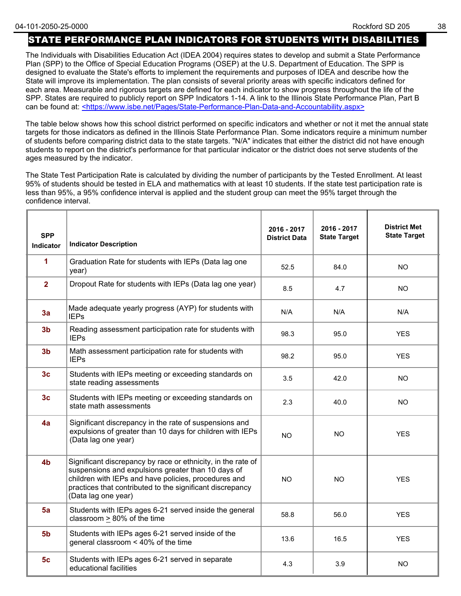## STATE PERFORMANCE PLAN INDICATORS FOR STUDENTS WITH DISABILITIES

The Individuals with Disabilities Education Act (IDEA 2004) requires states to develop and submit a State Performance Plan (SPP) to the Office of Special Education Programs (OSEP) at the U.S. Department of Education. The SPP is designed to evaluate the State's efforts to implement the requirements and purposes of IDEA and describe how the State will improve its implementation. The plan consists of several priority areas with specific indicators defined for each area. Measurable and rigorous targets are defined for each indicator to show progress throughout the life of the SPP. States are required to publicly report on SPP Indicators 1-14. A link to the Illinois State Performance Plan, Part B can be found at: <https://www.isbe.net/Pages/State-Performance-Plan-Data-and-Accountability.aspx>

The table below shows how this school district performed on specific indicators and whether or not it met the annual state targets for those indicators as defined in the Illinois State Performance Plan. Some indicators require a minimum number of students before comparing district data to the state targets. "N/A" indicates that either the district did not have enough students to report on the district's performance for that particular indicator or the district does not serve students of the ages measured by the indicator.

The State Test Participation Rate is calculated by dividing the number of participants by the Tested Enrollment. At least 95% of students should be tested in ELA and mathematics with at least 10 students. If the state test participation rate is less than 95%, a 95% confidence interval is applied and the student group can meet the 95% target through the confidence interval.

| <b>SPP</b><br>Indicator | <b>Indicator Description</b>                                                                                                                                                                                                                                   | 2016 - 2017<br><b>District Data</b> | 2016 - 2017<br><b>State Target</b> | <b>District Met</b><br><b>State Target</b> |
|-------------------------|----------------------------------------------------------------------------------------------------------------------------------------------------------------------------------------------------------------------------------------------------------------|-------------------------------------|------------------------------------|--------------------------------------------|
| 1                       | Graduation Rate for students with IEPs (Data lag one<br>year)                                                                                                                                                                                                  | 52.5                                | 84.0                               | NO.                                        |
| $\overline{2}$          | Dropout Rate for students with IEPs (Data lag one year)                                                                                                                                                                                                        | 8.5                                 | 4.7                                | <b>NO</b>                                  |
| 3a                      | Made adequate yearly progress (AYP) for students with<br><b>IEPs</b>                                                                                                                                                                                           | N/A                                 | N/A                                | N/A                                        |
| 3 <sub>b</sub>          | Reading assessment participation rate for students with<br><b>IEPs</b>                                                                                                                                                                                         | 98.3                                | 95.0                               | <b>YES</b>                                 |
| 3 <sub>b</sub>          | Math assessment participation rate for students with<br><b>IEPs</b>                                                                                                                                                                                            | 98.2                                | 95.0                               | <b>YES</b>                                 |
| 3 <sub>c</sub>          | Students with IEPs meeting or exceeding standards on<br>state reading assessments                                                                                                                                                                              | 3.5                                 | 42.0                               | NO.                                        |
| 3 <sub>c</sub>          | Students with IEPs meeting or exceeding standards on<br>state math assessments                                                                                                                                                                                 | 2.3                                 | 40.0                               | <b>NO</b>                                  |
| 4a                      | Significant discrepancy in the rate of suspensions and<br>expulsions of greater than 10 days for children with IEPs<br>(Data lag one year)                                                                                                                     | <b>NO</b>                           | <b>NO</b>                          | <b>YES</b>                                 |
| 4 <sub>b</sub>          | Significant discrepancy by race or ethnicity, in the rate of<br>suspensions and expulsions greater than 10 days of<br>children with IEPs and have policies, procedures and<br>practices that contributed to the significant discrepancy<br>(Data lag one year) | <b>NO</b>                           | <b>NO</b>                          | <b>YES</b>                                 |
| 5a                      | Students with IEPs ages 6-21 served inside the general<br>classroom > 80% of the time                                                                                                                                                                          | 58.8                                | 56.0                               | <b>YES</b>                                 |
| 5 <sub>b</sub>          | Students with IEPs ages 6-21 served inside of the<br>general classroom < 40% of the time                                                                                                                                                                       | 13.6                                | 16.5                               | <b>YES</b>                                 |
| 5 <sub>c</sub>          | Students with IEPs ages 6-21 served in separate<br>educational facilities                                                                                                                                                                                      | 4.3                                 | 3.9                                | <b>NO</b>                                  |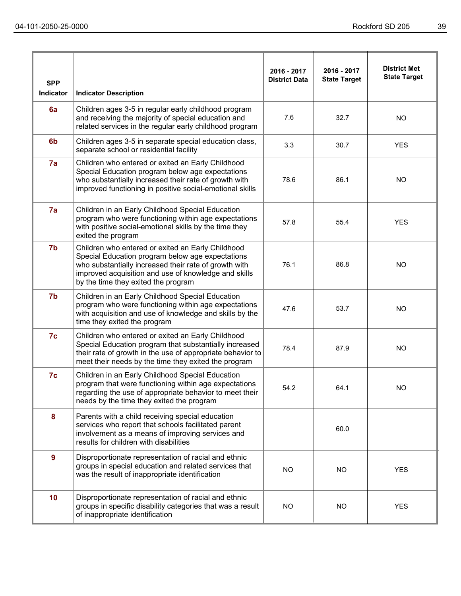| <b>SPP</b><br>Indicator | <b>Indicator Description</b>                                                                                                                                                                                                                                  | 2016 - 2017<br><b>District Data</b> | 2016 - 2017<br><b>State Target</b> | <b>District Met</b><br><b>State Target</b> |
|-------------------------|---------------------------------------------------------------------------------------------------------------------------------------------------------------------------------------------------------------------------------------------------------------|-------------------------------------|------------------------------------|--------------------------------------------|
| 6a                      | Children ages 3-5 in regular early childhood program<br>and receiving the majority of special education and<br>related services in the regular early childhood program                                                                                        | 7.6                                 | 32.7                               | <b>NO</b>                                  |
| 6 <sub>b</sub>          | Children ages 3-5 in separate special education class,<br>separate school or residential facility                                                                                                                                                             | 3.3                                 | 30.7                               | <b>YES</b>                                 |
| 7a                      | Children who entered or exited an Early Childhood<br>Special Education program below age expectations<br>who substantially increased their rate of growth with<br>improved functioning in positive social-emotional skills                                    | 78.6                                | 86.1                               | <b>NO</b>                                  |
| 7a                      | Children in an Early Childhood Special Education<br>program who were functioning within age expectations<br>with positive social-emotional skills by the time they<br>exited the program                                                                      | 57.8                                | 55.4                               | <b>YES</b>                                 |
| 7 <sub>b</sub>          | Children who entered or exited an Early Childhood<br>Special Education program below age expectations<br>who substantially increased their rate of growth with<br>improved acquisition and use of knowledge and skills<br>by the time they exited the program | 76.1                                | 86.8                               | <b>NO</b>                                  |
| 7b                      | Children in an Early Childhood Special Education<br>program who were functioning within age expectations<br>with acquisition and use of knowledge and skills by the<br>time they exited the program                                                           | 47.6                                | 53.7                               | <b>NO</b>                                  |
| 7c                      | Children who entered or exited an Early Childhood<br>Special Education program that substantially increased<br>their rate of growth in the use of appropriate behavior to<br>meet their needs by the time they exited the program                             | 78.4                                | 87.9                               | <b>NO</b>                                  |
| 7c                      | Children in an Early Childhood Special Education<br>program that were functioning within age expectations<br>regarding the use of appropriate behavior to meet their<br>needs by the time they exited the program                                             | 54.2                                | 64.1                               | <b>NO</b>                                  |
| 8                       | Parents with a child receiving special education<br>services who report that schools facilitated parent<br>involvement as a means of improving services and<br>results for children with disabilities                                                         |                                     | 60.0                               |                                            |
| 9                       | Disproportionate representation of racial and ethnic<br>groups in special education and related services that<br>was the result of inappropriate identification                                                                                               | NO.                                 | NO                                 | <b>YES</b>                                 |
| 10                      | Disproportionate representation of racial and ethnic<br>groups in specific disability categories that was a result<br>of inappropriate identification                                                                                                         | NO                                  | NO                                 | <b>YES</b>                                 |